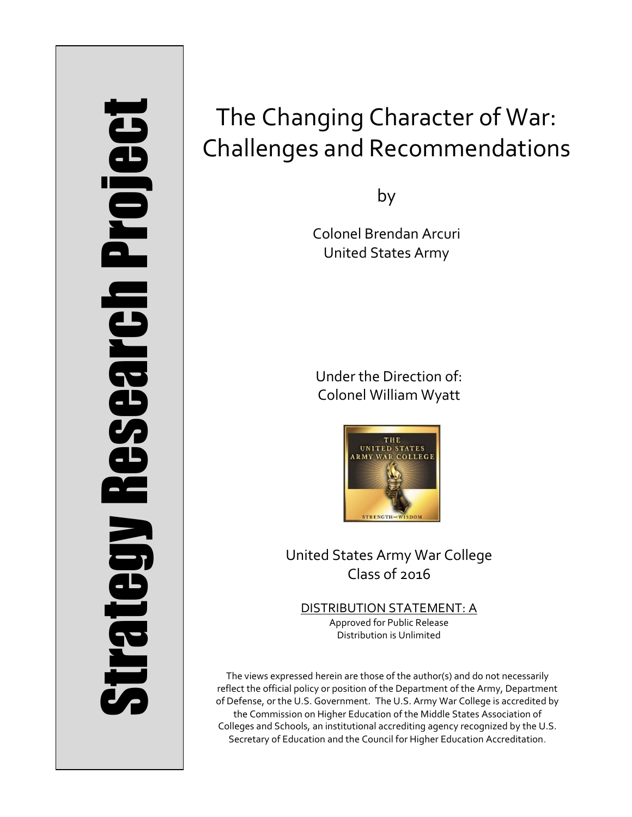# Strategy Research Project **Strategy Research Project**

# The Changing Character of War: Challenges and Recommendations

by

Colonel Brendan Arcuri United States Army

Under the Direction of: Colonel William Wyatt



United States Army War College Class of 2016

DISTRIBUTION STATEMENT: A Approved for Public Release Distribution is Unlimited

The views expressed herein are those of the author(s) and do not necessarily reflect the official policy or position of the Department of the Army, Department of Defense, or the U.S. Government. The U.S. Army War College is accredited by the Commission on Higher Education of the Middle States Association of Colleges and Schools, an institutional accrediting agency recognized by the U.S. Secretary of Education and the Council for Higher Education Accreditation.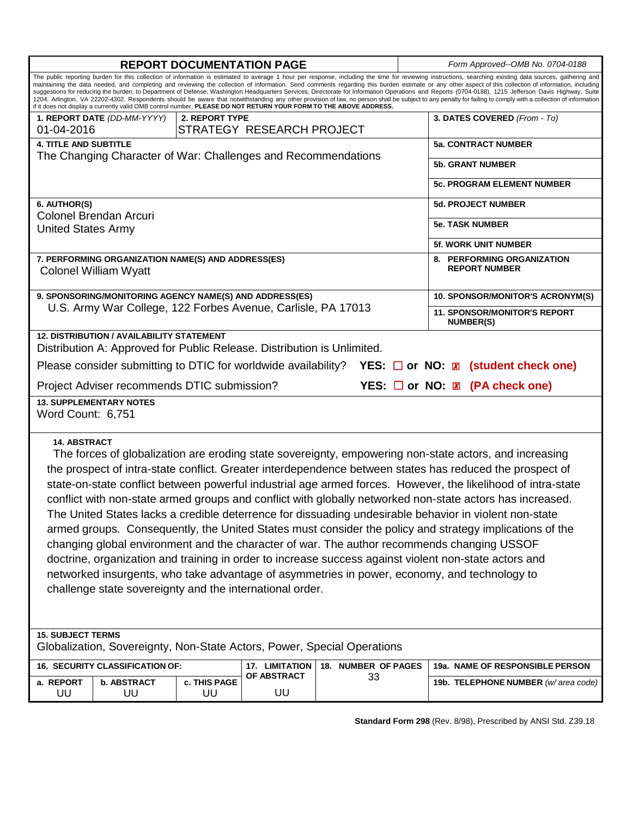| The public reporting burden for this collection of information is estimated to average 1 hour per response, including the time for reviewing instructions, searching existing data sources, gathering and<br>maintaining the data needed, and completing and reviewing the collection of information. Send comments regarding this burden estimate or any other aspect of this collection of information, including<br>suggestions for reducing the burden, to Department of Defense, Washington Headquarters Services, Directorate for Information Operations and Reports (0704-0188), 1215 Jefferson Davis Highway, Suite<br>1204, Arlington, VA 22202-4302. Respondents should be aware that notwithstanding any other provision of law, no person shall be subject to any penalty for failing to comply with a collection of information<br>if it does not display a currently valid OMB control number. PLEASE DO NOT RETURN YOUR FORM TO THE ABOVE ADDRESS.<br>3. DATES COVERED (From - To)<br>1. REPORT DATE (DD-MM-YYYY)<br>2. REPORT TYPE<br>STRATEGY RESEARCH PROJECT<br>01-04-2016<br><b>4. TITLE AND SUBTITLE</b><br><b>5a. CONTRACT NUMBER</b><br>The Changing Character of War: Challenges and Recommendations<br><b>5b. GRANT NUMBER</b><br>5c. PROGRAM ELEMENT NUMBER<br><b>5d. PROJECT NUMBER</b><br>6. AUTHOR(S)<br><b>Colonel Brendan Arcuri</b><br><b>5e. TASK NUMBER</b><br><b>United States Army</b><br><b>5f. WORK UNIT NUMBER</b><br>7. PERFORMING ORGANIZATION NAME(S) AND ADDRESS(ES)<br>8. PERFORMING ORGANIZATION<br><b>REPORT NUMBER</b><br><b>Colonel William Wyatt</b><br>9. SPONSORING/MONITORING AGENCY NAME(S) AND ADDRESS(ES)<br>10. SPONSOR/MONITOR'S ACRONYM(S)<br>U.S. Army War College, 122 Forbes Avenue, Carlisle, PA 17013<br><b>11. SPONSOR/MONITOR'S REPORT</b><br><b>NUMBER(S)</b><br><b>12. DISTRIBUTION / AVAILABILITY STATEMENT</b><br>Distribution A: Approved for Public Release. Distribution is Unlimited.<br>Please consider submitting to DTIC for worldwide availability?<br>YES: $\Box$ or NO: $\Box$ (student check one)<br>YES: □ or NO: <b>Z</b> (PA check one)<br>Project Adviser recommends DTIC submission?<br><b>13. SUPPLEMENTARY NOTES</b><br>Word Count: 6,751<br><b>14. ABSTRACT</b><br>The forces of globalization are eroding state sovereignty, empowering non-state actors, and increasing<br>the prospect of intra-state conflict. Greater interdependence between states has reduced the prospect of<br>state-on-state conflict between powerful industrial age armed forces. However, the likelihood of intra-state<br>conflict with non-state armed groups and conflict with globally networked non-state actors has increased.<br>The United States lacks a credible deterrence for dissuading undesirable behavior in violent non-state<br>armed groups. Consequently, the United States must consider the policy and strategy implications of the<br>changing global environment and the character of war. The author recommends changing USSOF<br>doctrine, organization and training in order to increase success against violent non-state actors and<br>networked insurgents, who take advantage of asymmetries in power, economy, and technology to<br>challenge state sovereignty and the international order.<br><b>15. SUBJECT TERMS</b><br>Globalization, Sovereignty, Non-State Actors, Power, Special Operations<br>16. SECURITY CLASSIFICATION OF:<br>18. NUMBER OF PAGES<br>19a. NAME OF RESPONSIBLE PERSON<br>17. LIMITATION<br>OF ABSTRACT<br>33<br>c. THIS PAGE<br>a. REPORT<br><b>b. ABSTRACT</b><br>19b. TELEPHONE NUMBER (w/ area code)<br>UU<br>UU<br>UU<br>UU |  | <b>REPORT DOCUMENTATION PAGE</b> |  | Form Approved--OMB No. 0704-0188 |
|------------------------------------------------------------------------------------------------------------------------------------------------------------------------------------------------------------------------------------------------------------------------------------------------------------------------------------------------------------------------------------------------------------------------------------------------------------------------------------------------------------------------------------------------------------------------------------------------------------------------------------------------------------------------------------------------------------------------------------------------------------------------------------------------------------------------------------------------------------------------------------------------------------------------------------------------------------------------------------------------------------------------------------------------------------------------------------------------------------------------------------------------------------------------------------------------------------------------------------------------------------------------------------------------------------------------------------------------------------------------------------------------------------------------------------------------------------------------------------------------------------------------------------------------------------------------------------------------------------------------------------------------------------------------------------------------------------------------------------------------------------------------------------------------------------------------------------------------------------------------------------------------------------------------------------------------------------------------------------------------------------------------------------------------------------------------------------------------------------------------------------------------------------------------------------------------------------------------------------------------------------------------------------------------------------------------------------------------------------------------------------------------------------------------------------------------------------------------------------------------------------------------------------------------------------------------------------------------------------------------------------------------------------------------------------------------------------------------------------------------------------------------------------------------------------------------------------------------------------------------------------------------------------------------------------------------------------------------------------------------------------------------------------------------------------------------------------------------------------------------------------------------------------------------------------------------------------------------------------------------------------------------------------------------------------------------------------------------------------------------------------------------------------------------------------------------------------------------------------------------------------------------------------------------------------------------------------------------------------------------------------------------------------------|--|----------------------------------|--|----------------------------------|
|                                                                                                                                                                                                                                                                                                                                                                                                                                                                                                                                                                                                                                                                                                                                                                                                                                                                                                                                                                                                                                                                                                                                                                                                                                                                                                                                                                                                                                                                                                                                                                                                                                                                                                                                                                                                                                                                                                                                                                                                                                                                                                                                                                                                                                                                                                                                                                                                                                                                                                                                                                                                                                                                                                                                                                                                                                                                                                                                                                                                                                                                                                                                                                                                                                                                                                                                                                                                                                                                                                                                                                                                                                                                  |  |                                  |  |                                  |
|                                                                                                                                                                                                                                                                                                                                                                                                                                                                                                                                                                                                                                                                                                                                                                                                                                                                                                                                                                                                                                                                                                                                                                                                                                                                                                                                                                                                                                                                                                                                                                                                                                                                                                                                                                                                                                                                                                                                                                                                                                                                                                                                                                                                                                                                                                                                                                                                                                                                                                                                                                                                                                                                                                                                                                                                                                                                                                                                                                                                                                                                                                                                                                                                                                                                                                                                                                                                                                                                                                                                                                                                                                                                  |  |                                  |  |                                  |
|                                                                                                                                                                                                                                                                                                                                                                                                                                                                                                                                                                                                                                                                                                                                                                                                                                                                                                                                                                                                                                                                                                                                                                                                                                                                                                                                                                                                                                                                                                                                                                                                                                                                                                                                                                                                                                                                                                                                                                                                                                                                                                                                                                                                                                                                                                                                                                                                                                                                                                                                                                                                                                                                                                                                                                                                                                                                                                                                                                                                                                                                                                                                                                                                                                                                                                                                                                                                                                                                                                                                                                                                                                                                  |  |                                  |  |                                  |
|                                                                                                                                                                                                                                                                                                                                                                                                                                                                                                                                                                                                                                                                                                                                                                                                                                                                                                                                                                                                                                                                                                                                                                                                                                                                                                                                                                                                                                                                                                                                                                                                                                                                                                                                                                                                                                                                                                                                                                                                                                                                                                                                                                                                                                                                                                                                                                                                                                                                                                                                                                                                                                                                                                                                                                                                                                                                                                                                                                                                                                                                                                                                                                                                                                                                                                                                                                                                                                                                                                                                                                                                                                                                  |  |                                  |  |                                  |
|                                                                                                                                                                                                                                                                                                                                                                                                                                                                                                                                                                                                                                                                                                                                                                                                                                                                                                                                                                                                                                                                                                                                                                                                                                                                                                                                                                                                                                                                                                                                                                                                                                                                                                                                                                                                                                                                                                                                                                                                                                                                                                                                                                                                                                                                                                                                                                                                                                                                                                                                                                                                                                                                                                                                                                                                                                                                                                                                                                                                                                                                                                                                                                                                                                                                                                                                                                                                                                                                                                                                                                                                                                                                  |  |                                  |  |                                  |
|                                                                                                                                                                                                                                                                                                                                                                                                                                                                                                                                                                                                                                                                                                                                                                                                                                                                                                                                                                                                                                                                                                                                                                                                                                                                                                                                                                                                                                                                                                                                                                                                                                                                                                                                                                                                                                                                                                                                                                                                                                                                                                                                                                                                                                                                                                                                                                                                                                                                                                                                                                                                                                                                                                                                                                                                                                                                                                                                                                                                                                                                                                                                                                                                                                                                                                                                                                                                                                                                                                                                                                                                                                                                  |  |                                  |  |                                  |
|                                                                                                                                                                                                                                                                                                                                                                                                                                                                                                                                                                                                                                                                                                                                                                                                                                                                                                                                                                                                                                                                                                                                                                                                                                                                                                                                                                                                                                                                                                                                                                                                                                                                                                                                                                                                                                                                                                                                                                                                                                                                                                                                                                                                                                                                                                                                                                                                                                                                                                                                                                                                                                                                                                                                                                                                                                                                                                                                                                                                                                                                                                                                                                                                                                                                                                                                                                                                                                                                                                                                                                                                                                                                  |  |                                  |  |                                  |
|                                                                                                                                                                                                                                                                                                                                                                                                                                                                                                                                                                                                                                                                                                                                                                                                                                                                                                                                                                                                                                                                                                                                                                                                                                                                                                                                                                                                                                                                                                                                                                                                                                                                                                                                                                                                                                                                                                                                                                                                                                                                                                                                                                                                                                                                                                                                                                                                                                                                                                                                                                                                                                                                                                                                                                                                                                                                                                                                                                                                                                                                                                                                                                                                                                                                                                                                                                                                                                                                                                                                                                                                                                                                  |  |                                  |  |                                  |
|                                                                                                                                                                                                                                                                                                                                                                                                                                                                                                                                                                                                                                                                                                                                                                                                                                                                                                                                                                                                                                                                                                                                                                                                                                                                                                                                                                                                                                                                                                                                                                                                                                                                                                                                                                                                                                                                                                                                                                                                                                                                                                                                                                                                                                                                                                                                                                                                                                                                                                                                                                                                                                                                                                                                                                                                                                                                                                                                                                                                                                                                                                                                                                                                                                                                                                                                                                                                                                                                                                                                                                                                                                                                  |  |                                  |  |                                  |
|                                                                                                                                                                                                                                                                                                                                                                                                                                                                                                                                                                                                                                                                                                                                                                                                                                                                                                                                                                                                                                                                                                                                                                                                                                                                                                                                                                                                                                                                                                                                                                                                                                                                                                                                                                                                                                                                                                                                                                                                                                                                                                                                                                                                                                                                                                                                                                                                                                                                                                                                                                                                                                                                                                                                                                                                                                                                                                                                                                                                                                                                                                                                                                                                                                                                                                                                                                                                                                                                                                                                                                                                                                                                  |  |                                  |  |                                  |
|                                                                                                                                                                                                                                                                                                                                                                                                                                                                                                                                                                                                                                                                                                                                                                                                                                                                                                                                                                                                                                                                                                                                                                                                                                                                                                                                                                                                                                                                                                                                                                                                                                                                                                                                                                                                                                                                                                                                                                                                                                                                                                                                                                                                                                                                                                                                                                                                                                                                                                                                                                                                                                                                                                                                                                                                                                                                                                                                                                                                                                                                                                                                                                                                                                                                                                                                                                                                                                                                                                                                                                                                                                                                  |  |                                  |  |                                  |
|                                                                                                                                                                                                                                                                                                                                                                                                                                                                                                                                                                                                                                                                                                                                                                                                                                                                                                                                                                                                                                                                                                                                                                                                                                                                                                                                                                                                                                                                                                                                                                                                                                                                                                                                                                                                                                                                                                                                                                                                                                                                                                                                                                                                                                                                                                                                                                                                                                                                                                                                                                                                                                                                                                                                                                                                                                                                                                                                                                                                                                                                                                                                                                                                                                                                                                                                                                                                                                                                                                                                                                                                                                                                  |  |                                  |  |                                  |
|                                                                                                                                                                                                                                                                                                                                                                                                                                                                                                                                                                                                                                                                                                                                                                                                                                                                                                                                                                                                                                                                                                                                                                                                                                                                                                                                                                                                                                                                                                                                                                                                                                                                                                                                                                                                                                                                                                                                                                                                                                                                                                                                                                                                                                                                                                                                                                                                                                                                                                                                                                                                                                                                                                                                                                                                                                                                                                                                                                                                                                                                                                                                                                                                                                                                                                                                                                                                                                                                                                                                                                                                                                                                  |  |                                  |  |                                  |
|                                                                                                                                                                                                                                                                                                                                                                                                                                                                                                                                                                                                                                                                                                                                                                                                                                                                                                                                                                                                                                                                                                                                                                                                                                                                                                                                                                                                                                                                                                                                                                                                                                                                                                                                                                                                                                                                                                                                                                                                                                                                                                                                                                                                                                                                                                                                                                                                                                                                                                                                                                                                                                                                                                                                                                                                                                                                                                                                                                                                                                                                                                                                                                                                                                                                                                                                                                                                                                                                                                                                                                                                                                                                  |  |                                  |  |                                  |
|                                                                                                                                                                                                                                                                                                                                                                                                                                                                                                                                                                                                                                                                                                                                                                                                                                                                                                                                                                                                                                                                                                                                                                                                                                                                                                                                                                                                                                                                                                                                                                                                                                                                                                                                                                                                                                                                                                                                                                                                                                                                                                                                                                                                                                                                                                                                                                                                                                                                                                                                                                                                                                                                                                                                                                                                                                                                                                                                                                                                                                                                                                                                                                                                                                                                                                                                                                                                                                                                                                                                                                                                                                                                  |  |                                  |  |                                  |
|                                                                                                                                                                                                                                                                                                                                                                                                                                                                                                                                                                                                                                                                                                                                                                                                                                                                                                                                                                                                                                                                                                                                                                                                                                                                                                                                                                                                                                                                                                                                                                                                                                                                                                                                                                                                                                                                                                                                                                                                                                                                                                                                                                                                                                                                                                                                                                                                                                                                                                                                                                                                                                                                                                                                                                                                                                                                                                                                                                                                                                                                                                                                                                                                                                                                                                                                                                                                                                                                                                                                                                                                                                                                  |  |                                  |  |                                  |
|                                                                                                                                                                                                                                                                                                                                                                                                                                                                                                                                                                                                                                                                                                                                                                                                                                                                                                                                                                                                                                                                                                                                                                                                                                                                                                                                                                                                                                                                                                                                                                                                                                                                                                                                                                                                                                                                                                                                                                                                                                                                                                                                                                                                                                                                                                                                                                                                                                                                                                                                                                                                                                                                                                                                                                                                                                                                                                                                                                                                                                                                                                                                                                                                                                                                                                                                                                                                                                                                                                                                                                                                                                                                  |  |                                  |  |                                  |
|                                                                                                                                                                                                                                                                                                                                                                                                                                                                                                                                                                                                                                                                                                                                                                                                                                                                                                                                                                                                                                                                                                                                                                                                                                                                                                                                                                                                                                                                                                                                                                                                                                                                                                                                                                                                                                                                                                                                                                                                                                                                                                                                                                                                                                                                                                                                                                                                                                                                                                                                                                                                                                                                                                                                                                                                                                                                                                                                                                                                                                                                                                                                                                                                                                                                                                                                                                                                                                                                                                                                                                                                                                                                  |  |                                  |  |                                  |

**Standard Form 298** (Rev. 8/98), Prescribed by ANSI Std. Z39.18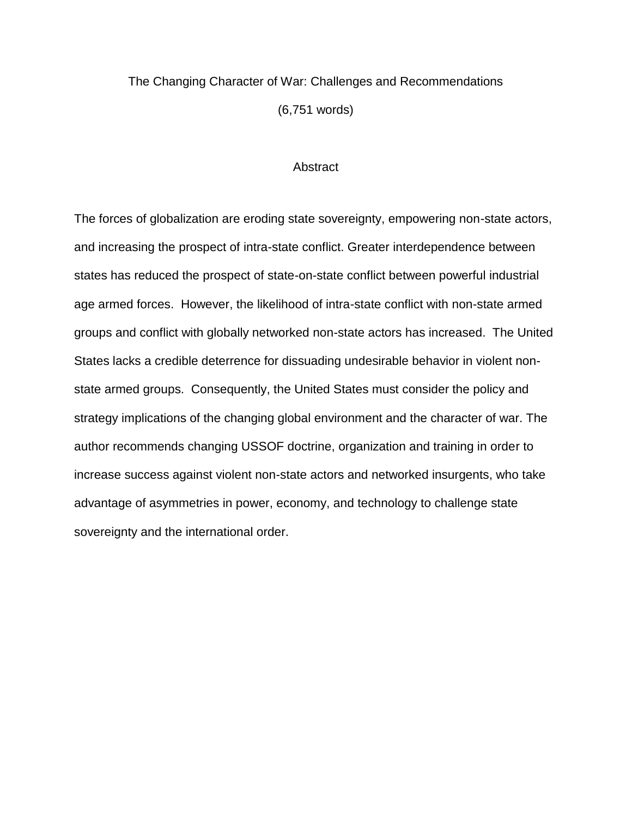## The Changing Character of War: Challenges and Recommendations (6,751 words)

### **Abstract**

The forces of globalization are eroding state sovereignty, empowering non-state actors, and increasing the prospect of intra-state conflict. Greater interdependence between states has reduced the prospect of state-on-state conflict between powerful industrial age armed forces. However, the likelihood of intra-state conflict with non-state armed groups and conflict with globally networked non-state actors has increased. The United States lacks a credible deterrence for dissuading undesirable behavior in violent nonstate armed groups. Consequently, the United States must consider the policy and strategy implications of the changing global environment and the character of war. The author recommends changing USSOF doctrine, organization and training in order to increase success against violent non-state actors and networked insurgents, who take advantage of asymmetries in power, economy, and technology to challenge state sovereignty and the international order.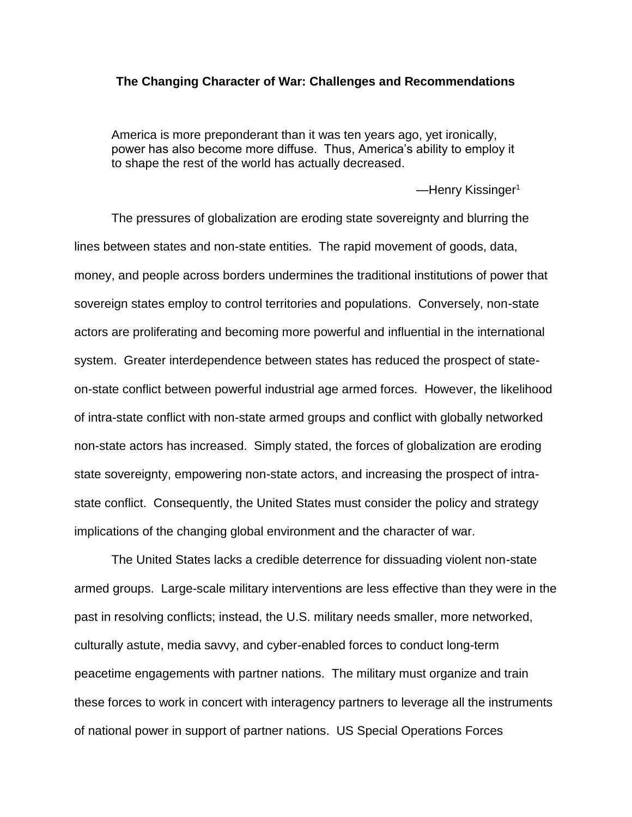### **The Changing Character of War: Challenges and Recommendations**

America is more preponderant than it was ten years ago, yet ironically, power has also become more diffuse. Thus, America's ability to employ it to shape the rest of the world has actually decreased.

—Henry Kissinger<sup>1</sup>

The pressures of globalization are eroding state sovereignty and blurring the lines between states and non-state entities. The rapid movement of goods, data, money, and people across borders undermines the traditional institutions of power that sovereign states employ to control territories and populations. Conversely, non-state actors are proliferating and becoming more powerful and influential in the international system. Greater interdependence between states has reduced the prospect of stateon-state conflict between powerful industrial age armed forces. However, the likelihood of intra-state conflict with non-state armed groups and conflict with globally networked non-state actors has increased. Simply stated, the forces of globalization are eroding state sovereignty, empowering non-state actors, and increasing the prospect of intrastate conflict. Consequently, the United States must consider the policy and strategy implications of the changing global environment and the character of war.

The United States lacks a credible deterrence for dissuading violent non-state armed groups. Large-scale military interventions are less effective than they were in the past in resolving conflicts; instead, the U.S. military needs smaller, more networked, culturally astute, media savvy, and cyber-enabled forces to conduct long-term peacetime engagements with partner nations. The military must organize and train these forces to work in concert with interagency partners to leverage all the instruments of national power in support of partner nations. US Special Operations Forces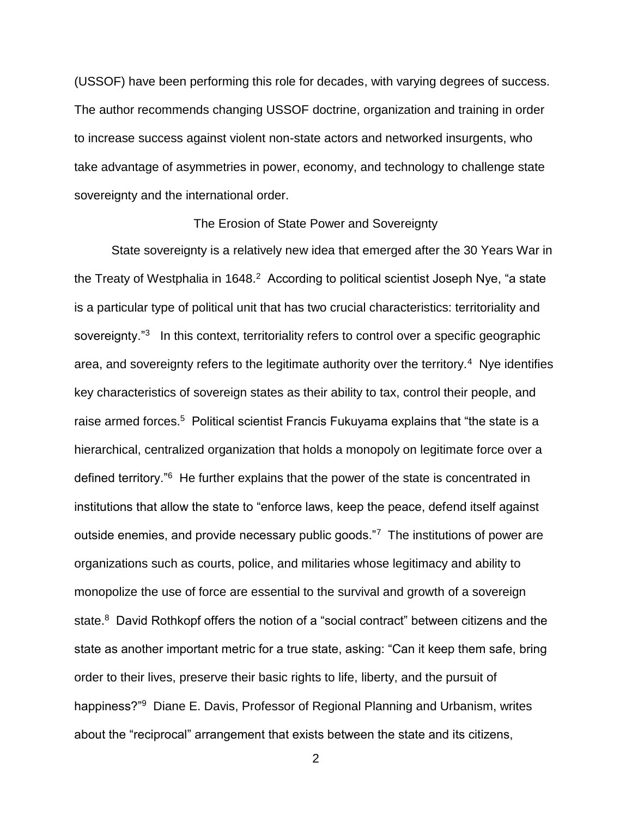(USSOF) have been performing this role for decades, with varying degrees of success. The author recommends changing USSOF doctrine, organization and training in order to increase success against violent non-state actors and networked insurgents, who take advantage of asymmetries in power, economy, and technology to challenge state sovereignty and the international order.

### The Erosion of State Power and Sovereignty

State sovereignty is a relatively new idea that emerged after the 30 Years War in the Treaty of Westphalia in 1648.<sup>2</sup> According to political scientist Joseph Nye, "a state is a particular type of political unit that has two crucial characteristics: territoriality and sovereignty."<sup>3</sup> In this context, territoriality refers to control over a specific geographic area, and sovereignty refers to the legitimate authority over the territory.<sup>4</sup> Nye identifies key characteristics of sovereign states as their ability to tax, control their people, and raise armed forces.<sup>5</sup> Political scientist Francis Fukuyama explains that "the state is a hierarchical, centralized organization that holds a monopoly on legitimate force over a defined territory."<sup>6</sup> He further explains that the power of the state is concentrated in institutions that allow the state to "enforce laws, keep the peace, defend itself against outside enemies, and provide necessary public goods."7 The institutions of power are organizations such as courts, police, and militaries whose legitimacy and ability to monopolize the use of force are essential to the survival and growth of a sovereign state.<sup>8</sup> David Rothkopf offers the notion of a "social contract" between citizens and the state as another important metric for a true state, asking: "Can it keep them safe, bring order to their lives, preserve their basic rights to life, liberty, and the pursuit of happiness?"<sup>9</sup> Diane E. Davis, Professor of Regional Planning and Urbanism, writes about the "reciprocal" arrangement that exists between the state and its citizens,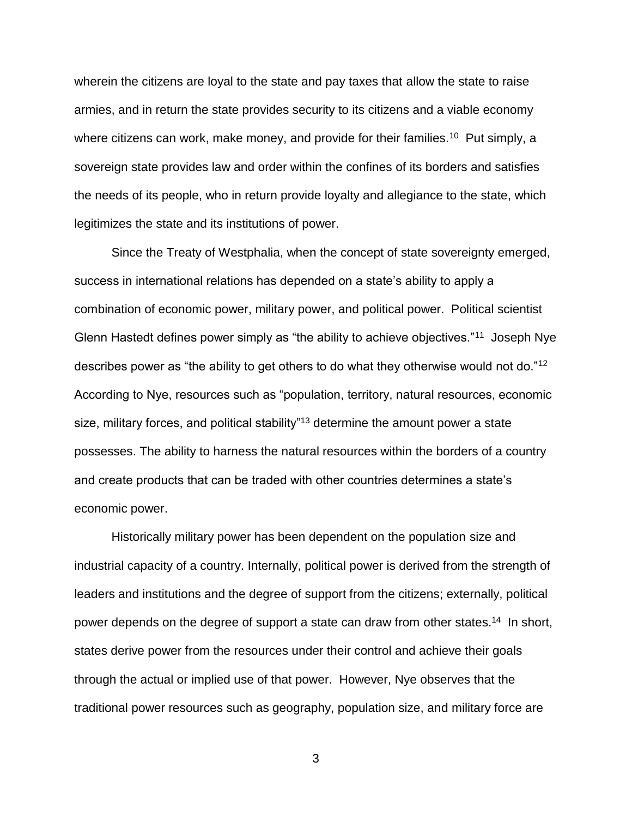wherein the citizens are loyal to the state and pay taxes that allow the state to raise armies, and in return the state provides security to its citizens and a viable economy where citizens can work, make money, and provide for their families.<sup>10</sup> Put simply, a sovereign state provides law and order within the confines of its borders and satisfies the needs of its people, who in return provide loyalty and allegiance to the state, which legitimizes the state and its institutions of power.

Since the Treaty of Westphalia, when the concept of state sovereignty emerged, success in international relations has depended on a state's ability to apply a combination of economic power, military power, and political power. Political scientist Glenn Hastedt defines power simply as "the ability to achieve objectives."<sup>11</sup> Joseph Nye describes power as "the ability to get others to do what they otherwise would not do."<sup>12</sup> According to Nye, resources such as "population, territory, natural resources, economic size, military forces, and political stability<sup>"13</sup> determine the amount power a state possesses. The ability to harness the natural resources within the borders of a country and create products that can be traded with other countries determines a state's economic power.

Historically military power has been dependent on the population size and industrial capacity of a country. Internally, political power is derived from the strength of leaders and institutions and the degree of support from the citizens; externally, political power depends on the degree of support a state can draw from other states.<sup>14</sup> In short, states derive power from the resources under their control and achieve their goals through the actual or implied use of that power. However, Nye observes that the traditional power resources such as geography, population size, and military force are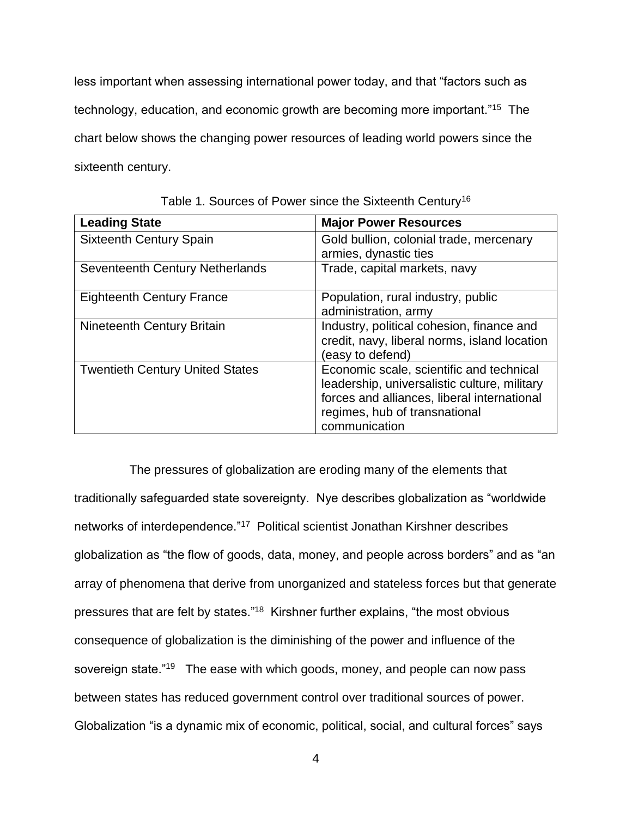less important when assessing international power today, and that "factors such as technology, education, and economic growth are becoming more important."<sup>15</sup> The chart below shows the changing power resources of leading world powers since the sixteenth century.

| <b>Leading State</b>                   | <b>Major Power Resources</b>                                                                                                                                                              |
|----------------------------------------|-------------------------------------------------------------------------------------------------------------------------------------------------------------------------------------------|
| <b>Sixteenth Century Spain</b>         | Gold bullion, colonial trade, mercenary<br>armies, dynastic ties                                                                                                                          |
| Seventeenth Century Netherlands        | Trade, capital markets, navy                                                                                                                                                              |
| <b>Eighteenth Century France</b>       | Population, rural industry, public<br>administration, army                                                                                                                                |
| Nineteenth Century Britain             | Industry, political cohesion, finance and<br>credit, navy, liberal norms, island location<br>(easy to defend)                                                                             |
| <b>Twentieth Century United States</b> | Economic scale, scientific and technical<br>leadership, universalistic culture, military<br>forces and alliances, liberal international<br>regimes, hub of transnational<br>communication |

| Table 1. Sources of Power since the Sixteenth Century <sup>16</sup> |
|---------------------------------------------------------------------|
|---------------------------------------------------------------------|

 The pressures of globalization are eroding many of the elements that traditionally safeguarded state sovereignty. Nye describes globalization as "worldwide networks of interdependence."<sup>17</sup> Political scientist Jonathan Kirshner describes globalization as "the flow of goods, data, money, and people across borders" and as "an array of phenomena that derive from unorganized and stateless forces but that generate pressures that are felt by states."<sup>18</sup> Kirshner further explains, "the most obvious consequence of globalization is the diminishing of the power and influence of the sovereign state."<sup>19</sup> The ease with which goods, money, and people can now pass between states has reduced government control over traditional sources of power. Globalization "is a dynamic mix of economic, political, social, and cultural forces" says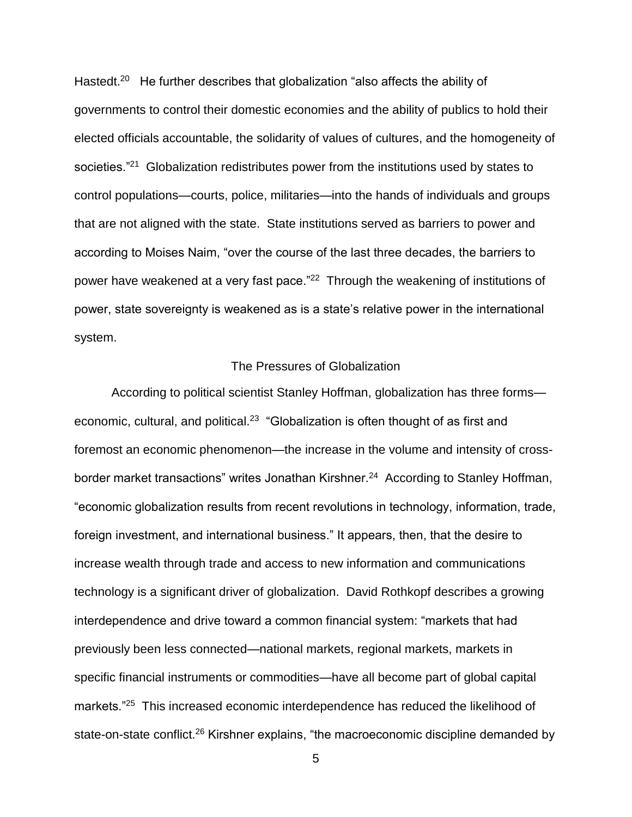Hastedt.<sup>20</sup> He further describes that globalization "also affects the ability of governments to control their domestic economies and the ability of publics to hold their elected officials accountable, the solidarity of values of cultures, and the homogeneity of societies."<sup>21</sup> Globalization redistributes power from the institutions used by states to control populations—courts, police, militaries—into the hands of individuals and groups that are not aligned with the state. State institutions served as barriers to power and according to Moises Naim, "over the course of the last three decades, the barriers to power have weakened at a very fast pace."<sup>22</sup> Through the weakening of institutions of power, state sovereignty is weakened as is a state's relative power in the international system.

### The Pressures of Globalization

According to political scientist Stanley Hoffman, globalization has three forms economic, cultural, and political.<sup>23</sup> "Globalization is often thought of as first and foremost an economic phenomenon—the increase in the volume and intensity of crossborder market transactions" writes Jonathan Kirshner.<sup>24</sup> According to Stanley Hoffman, "economic globalization results from recent revolutions in technology, information, trade, foreign investment, and international business." It appears, then, that the desire to increase wealth through trade and access to new information and communications technology is a significant driver of globalization. David Rothkopf describes a growing interdependence and drive toward a common financial system: "markets that had previously been less connected—national markets, regional markets, markets in specific financial instruments or commodities—have all become part of global capital markets."<sup>25</sup> This increased economic interdependence has reduced the likelihood of state-on-state conflict.<sup>26</sup> Kirshner explains, "the macroeconomic discipline demanded by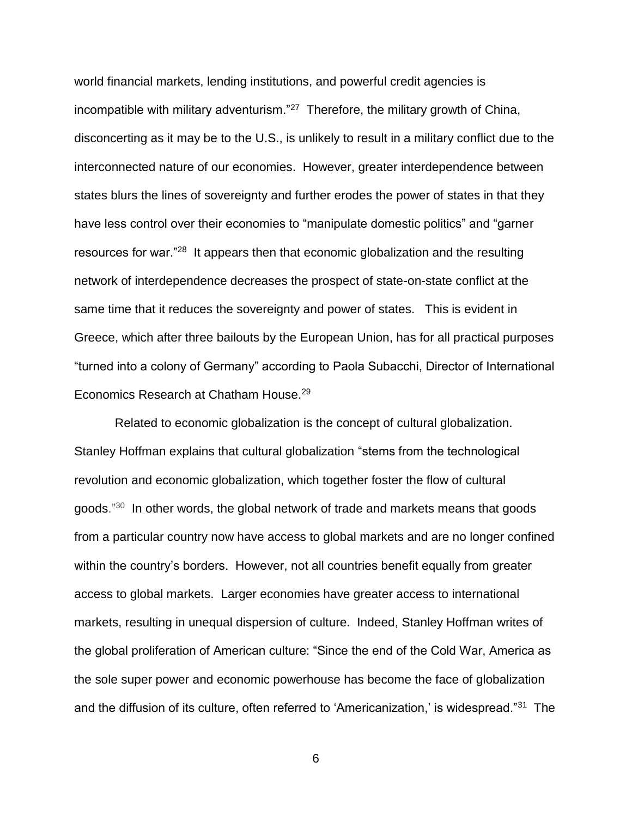world financial markets, lending institutions, and powerful credit agencies is incompatible with military adventurism."<sup>27</sup> Therefore, the military growth of China, disconcerting as it may be to the U.S., is unlikely to result in a military conflict due to the interconnected nature of our economies. However, greater interdependence between states blurs the lines of sovereignty and further erodes the power of states in that they have less control over their economies to "manipulate domestic politics" and "garner resources for war."<sup>28</sup> It appears then that economic globalization and the resulting network of interdependence decreases the prospect of state-on-state conflict at the same time that it reduces the sovereignty and power of states. This is evident in Greece, which after three bailouts by the European Union, has for all practical purposes "turned into a colony of Germany" according to Paola Subacchi, Director of International Economics Research at Chatham House.<sup>29</sup>

Related to economic globalization is the concept of cultural globalization. Stanley Hoffman explains that cultural globalization "stems from the technological revolution and economic globalization, which together foster the flow of cultural goods."<sup>30</sup> In other words, the global network of trade and markets means that goods from a particular country now have access to global markets and are no longer confined within the country's borders. However, not all countries benefit equally from greater access to global markets. Larger economies have greater access to international markets, resulting in unequal dispersion of culture. Indeed, Stanley Hoffman writes of the global proliferation of American culture: "Since the end of the Cold War, America as the sole super power and economic powerhouse has become the face of globalization and the diffusion of its culture, often referred to 'Americanization,' is widespread."<sup>31</sup> The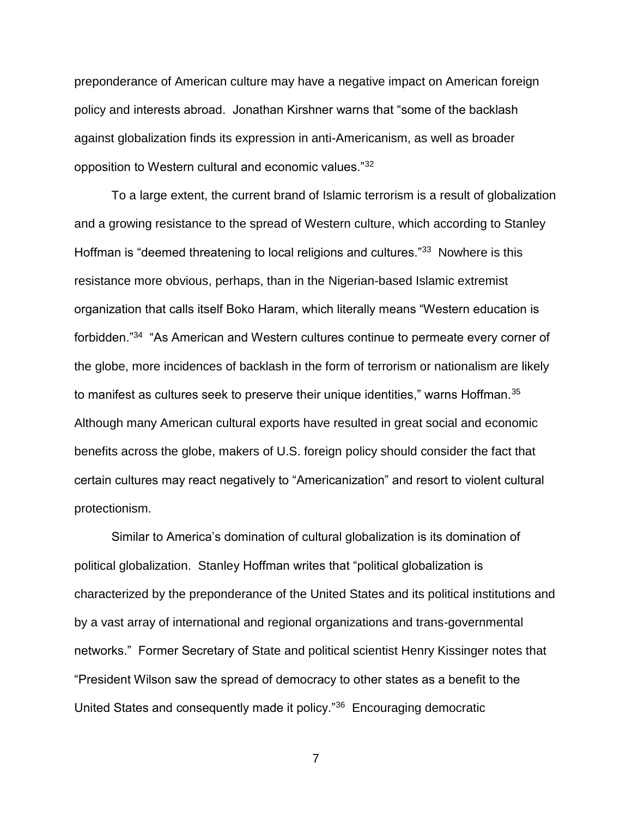preponderance of American culture may have a negative impact on American foreign policy and interests abroad. Jonathan Kirshner warns that "some of the backlash against globalization finds its expression in anti-Americanism, as well as broader opposition to Western cultural and economic values."<sup>32</sup>

To a large extent, the current brand of Islamic terrorism is a result of globalization and a growing resistance to the spread of Western culture, which according to Stanley Hoffman is "deemed threatening to local religions and cultures."<sup>33</sup> Nowhere is this resistance more obvious, perhaps, than in the Nigerian-based Islamic extremist organization that calls itself Boko Haram, which literally means "Western education is forbidden."<sup>34</sup> "As American and Western cultures continue to permeate every corner of the globe, more incidences of backlash in the form of terrorism or nationalism are likely to manifest as cultures seek to preserve their unique identities," warns Hoffman. $35$ Although many American cultural exports have resulted in great social and economic benefits across the globe, makers of U.S. foreign policy should consider the fact that certain cultures may react negatively to "Americanization" and resort to violent cultural protectionism.

Similar to America's domination of cultural globalization is its domination of political globalization. Stanley Hoffman writes that "political globalization is characterized by the preponderance of the United States and its political institutions and by a vast array of international and regional organizations and trans-governmental networks." Former Secretary of State and political scientist Henry Kissinger notes that "President Wilson saw the spread of democracy to other states as a benefit to the United States and consequently made it policy."<sup>36</sup> Encouraging democratic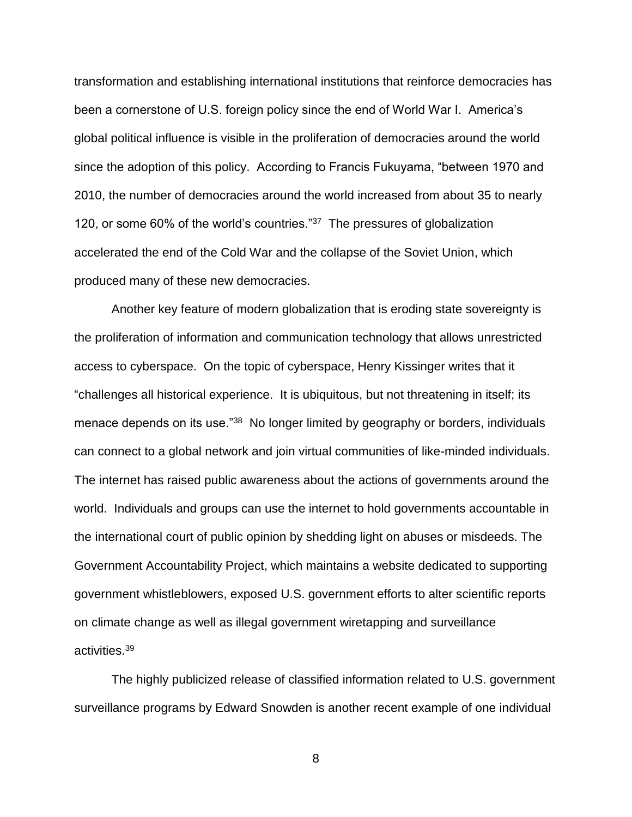transformation and establishing international institutions that reinforce democracies has been a cornerstone of U.S. foreign policy since the end of World War I. America's global political influence is visible in the proliferation of democracies around the world since the adoption of this policy. According to Francis Fukuyama, "between 1970 and 2010, the number of democracies around the world increased from about 35 to nearly 120, or some 60% of the world's countries."<sup>37</sup> The pressures of globalization accelerated the end of the Cold War and the collapse of the Soviet Union, which produced many of these new democracies.

Another key feature of modern globalization that is eroding state sovereignty is the proliferation of information and communication technology that allows unrestricted access to cyberspace. On the topic of cyberspace, Henry Kissinger writes that it "challenges all historical experience. It is ubiquitous, but not threatening in itself; its menace depends on its use."<sup>38</sup> No longer limited by geography or borders, individuals can connect to a global network and join virtual communities of like-minded individuals. The internet has raised public awareness about the actions of governments around the world. Individuals and groups can use the internet to hold governments accountable in the international court of public opinion by shedding light on abuses or misdeeds. The Government Accountability Project, which maintains a website dedicated to supporting government whistleblowers, exposed U.S. government efforts to alter scientific reports on climate change as well as illegal government wiretapping and surveillance activities.<sup>39</sup>

The highly publicized release of classified information related to U.S. government surveillance programs by Edward Snowden is another recent example of one individual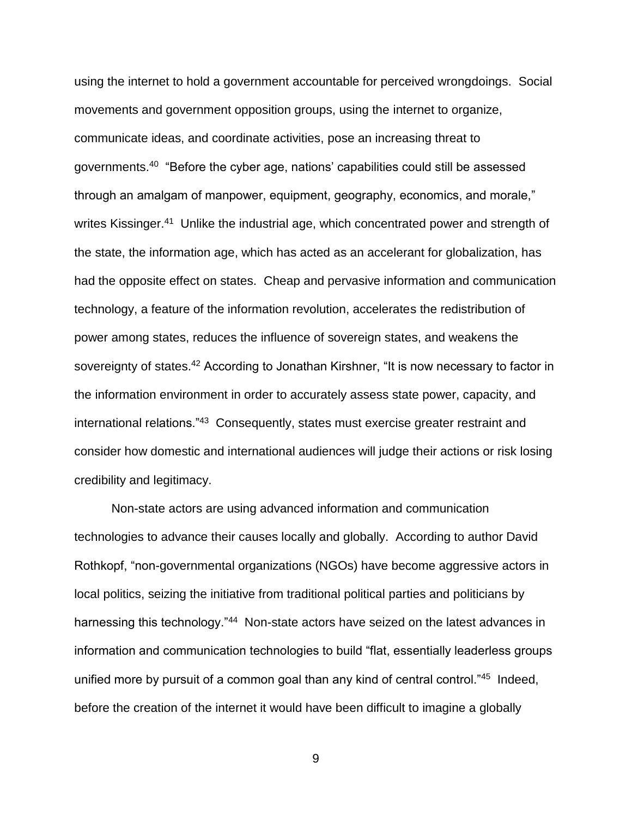using the internet to hold a government accountable for perceived wrongdoings. Social movements and government opposition groups, using the internet to organize, communicate ideas, and coordinate activities, pose an increasing threat to governments.<sup>40</sup> "Before the cyber age, nations' capabilities could still be assessed through an amalgam of manpower, equipment, geography, economics, and morale," writes Kissinger.<sup>41</sup> Unlike the industrial age, which concentrated power and strength of the state, the information age, which has acted as an accelerant for globalization, has had the opposite effect on states. Cheap and pervasive information and communication technology, a feature of the information revolution, accelerates the redistribution of power among states, reduces the influence of sovereign states, and weakens the sovereignty of states.<sup>42</sup> According to Jonathan Kirshner, "It is now necessary to factor in the information environment in order to accurately assess state power, capacity, and international relations."<sup>43</sup> Consequently, states must exercise greater restraint and consider how domestic and international audiences will judge their actions or risk losing credibility and legitimacy.

Non-state actors are using advanced information and communication technologies to advance their causes locally and globally. According to author David Rothkopf, "non-governmental organizations (NGOs) have become aggressive actors in local politics, seizing the initiative from traditional political parties and politicians by harnessing this technology."<sup>44</sup> Non-state actors have seized on the latest advances in information and communication technologies to build "flat, essentially leaderless groups unified more by pursuit of a common goal than any kind of central control."<sup>45</sup> Indeed, before the creation of the internet it would have been difficult to imagine a globally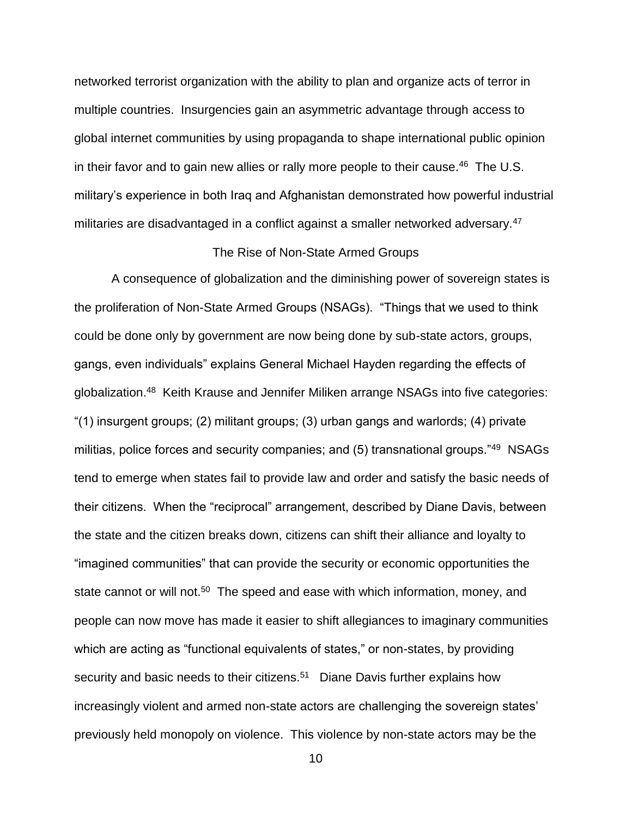networked terrorist organization with the ability to plan and organize acts of terror in multiple countries. Insurgencies gain an asymmetric advantage through access to global internet communities by using propaganda to shape international public opinion in their favor and to gain new allies or rally more people to their cause.<sup>46</sup> The U.S. military's experience in both Iraq and Afghanistan demonstrated how powerful industrial militaries are disadvantaged in a conflict against a smaller networked adversary.<sup>47</sup>

### The Rise of Non-State Armed Groups

A consequence of globalization and the diminishing power of sovereign states is the proliferation of Non-State Armed Groups (NSAGs). "Things that we used to think could be done only by government are now being done by sub-state actors, groups, gangs, even individuals" explains General Michael Hayden regarding the effects of globalization.<sup>48</sup> Keith Krause and Jennifer Miliken arrange NSAGs into five categories: "(1) insurgent groups; (2) militant groups; (3) urban gangs and warlords; (4) private militias, police forces and security companies; and (5) transnational groups."<sup>49</sup> NSAGs tend to emerge when states fail to provide law and order and satisfy the basic needs of their citizens. When the "reciprocal" arrangement, described by Diane Davis, between the state and the citizen breaks down, citizens can shift their alliance and loyalty to "imagined communities" that can provide the security or economic opportunities the state cannot or will not.<sup>50</sup> The speed and ease with which information, money, and people can now move has made it easier to shift allegiances to imaginary communities which are acting as "functional equivalents of states," or non-states, by providing security and basic needs to their citizens.<sup>51</sup> Diane Davis further explains how increasingly violent and armed non-state actors are challenging the sovereign states' previously held monopoly on violence. This violence by non-state actors may be the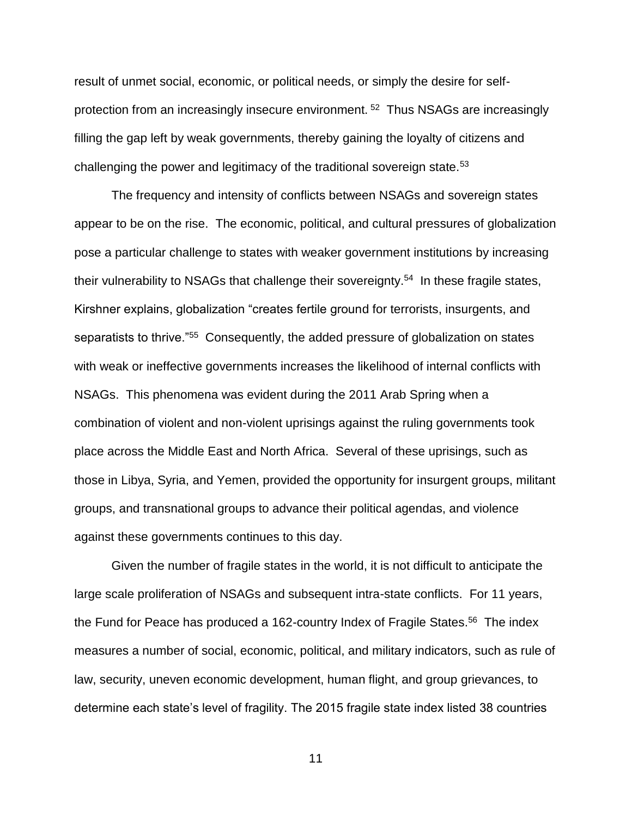result of unmet social, economic, or political needs, or simply the desire for selfprotection from an increasingly insecure environment. <sup>52</sup> Thus NSAGs are increasingly filling the gap left by weak governments, thereby gaining the loyalty of citizens and challenging the power and legitimacy of the traditional sovereign state.<sup>53</sup>

The frequency and intensity of conflicts between NSAGs and sovereign states appear to be on the rise. The economic, political, and cultural pressures of globalization pose a particular challenge to states with weaker government institutions by increasing their vulnerability to NSAGs that challenge their sovereignty.<sup>54</sup> In these fragile states, Kirshner explains, globalization "creates fertile ground for terrorists, insurgents, and separatists to thrive."<sup>55</sup> Consequently, the added pressure of globalization on states with weak or ineffective governments increases the likelihood of internal conflicts with NSAGs. This phenomena was evident during the 2011 Arab Spring when a combination of violent and non-violent uprisings against the ruling governments took place across the Middle East and North Africa. Several of these uprisings, such as those in Libya, Syria, and Yemen, provided the opportunity for insurgent groups, militant groups, and transnational groups to advance their political agendas, and violence against these governments continues to this day.

Given the number of fragile states in the world, it is not difficult to anticipate the large scale proliferation of NSAGs and subsequent intra-state conflicts. For 11 years, the Fund for Peace has produced a 162-country Index of Fragile States.<sup>56</sup> The index measures a number of social, economic, political, and military indicators, such as rule of law, security, uneven economic development, human flight, and group grievances, to determine each state's level of fragility. The 2015 fragile state index listed 38 countries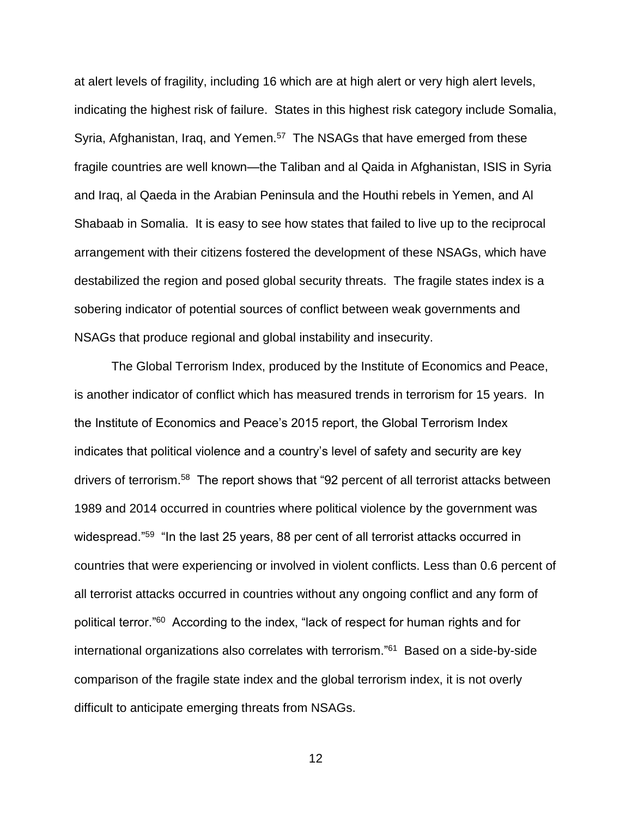at alert levels of fragility, including 16 which are at high alert or very high alert levels, indicating the highest risk of failure. States in this highest risk category include Somalia, Syria, Afghanistan, Iraq, and Yemen.<sup>57</sup> The NSAGs that have emerged from these fragile countries are well known—the Taliban and al Qaida in Afghanistan, ISIS in Syria and Iraq, al Qaeda in the Arabian Peninsula and the Houthi rebels in Yemen, and Al Shabaab in Somalia. It is easy to see how states that failed to live up to the reciprocal arrangement with their citizens fostered the development of these NSAGs, which have destabilized the region and posed global security threats. The fragile states index is a sobering indicator of potential sources of conflict between weak governments and NSAGs that produce regional and global instability and insecurity.

The Global Terrorism Index, produced by the Institute of Economics and Peace, is another indicator of conflict which has measured trends in terrorism for 15 years. In the Institute of Economics and Peace's 2015 report, the Global Terrorism Index indicates that political violence and a country's level of safety and security are key drivers of terrorism.<sup>58</sup> The report shows that "92 percent of all terrorist attacks between 1989 and 2014 occurred in countries where political violence by the government was widespread."<sup>59</sup> "In the last 25 years, 88 per cent of all terrorist attacks occurred in countries that were experiencing or involved in violent conflicts. Less than 0.6 percent of all terrorist attacks occurred in countries without any ongoing conflict and any form of political terror."<sup>60</sup> According to the index, "lack of respect for human rights and for international organizations also correlates with terrorism."<sup>61</sup> Based on a side-by-side comparison of the fragile state index and the global terrorism index, it is not overly difficult to anticipate emerging threats from NSAGs.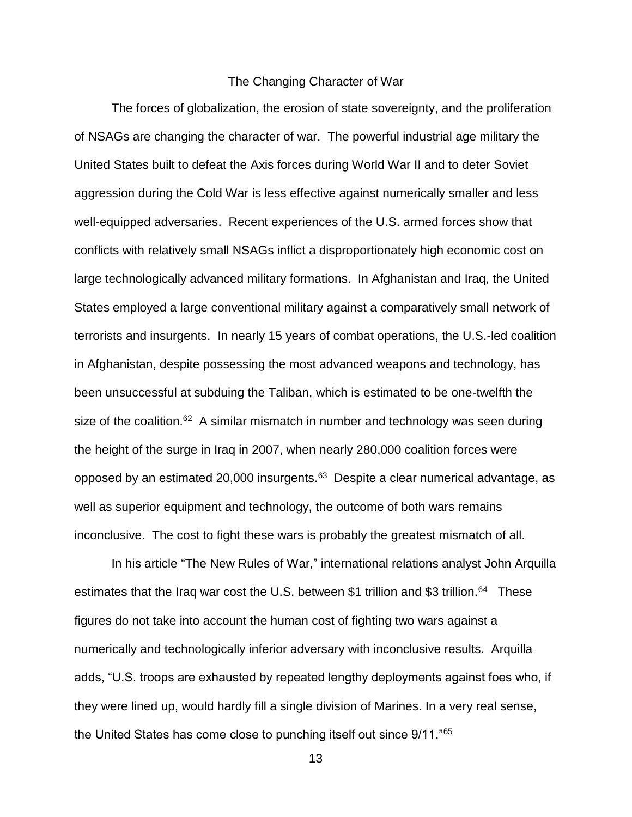### The Changing Character of War

The forces of globalization, the erosion of state sovereignty, and the proliferation of NSAGs are changing the character of war. The powerful industrial age military the United States built to defeat the Axis forces during World War II and to deter Soviet aggression during the Cold War is less effective against numerically smaller and less well-equipped adversaries. Recent experiences of the U.S. armed forces show that conflicts with relatively small NSAGs inflict a disproportionately high economic cost on large technologically advanced military formations. In Afghanistan and Iraq, the United States employed a large conventional military against a comparatively small network of terrorists and insurgents. In nearly 15 years of combat operations, the U.S.-led coalition in Afghanistan, despite possessing the most advanced weapons and technology, has been unsuccessful at subduing the Taliban, which is estimated to be one-twelfth the size of the coalition.<sup>62</sup> A similar mismatch in number and technology was seen during the height of the surge in Iraq in 2007, when nearly 280,000 coalition forces were opposed by an estimated 20,000 insurgents.<sup>63</sup> Despite a clear numerical advantage, as well as superior equipment and technology, the outcome of both wars remains inconclusive. The cost to fight these wars is probably the greatest mismatch of all.

In his article "The New Rules of War," international relations analyst John Arquilla estimates that the Iraq war cost the U.S. between \$1 trillion and \$3 trillion.<sup>64</sup> These figures do not take into account the human cost of fighting two wars against a numerically and technologically inferior adversary with inconclusive results. Arquilla adds, "U.S. troops are exhausted by repeated lengthy deployments against foes who, if they were lined up, would hardly fill a single division of Marines. In a very real sense, the United States has come close to punching itself out since  $9/11.^{65}$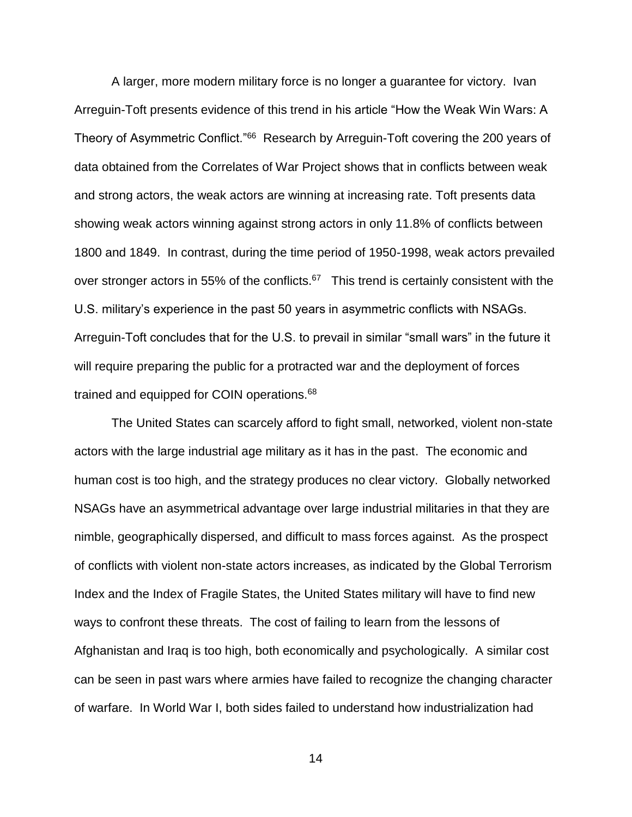A larger, more modern military force is no longer a guarantee for victory. Ivan Arreguin-Toft presents evidence of this trend in his article "How the Weak Win Wars: A Theory of Asymmetric Conflict."<sup>66</sup> Research by Arreguin-Toft covering the 200 years of data obtained from the Correlates of War Project shows that in conflicts between weak and strong actors, the weak actors are winning at increasing rate. Toft presents data showing weak actors winning against strong actors in only 11.8% of conflicts between 1800 and 1849. In contrast, during the time period of 1950-1998, weak actors prevailed over stronger actors in 55% of the conflicts. $67$  This trend is certainly consistent with the U.S. military's experience in the past 50 years in asymmetric conflicts with NSAGs. Arreguin-Toft concludes that for the U.S. to prevail in similar "small wars" in the future it will require preparing the public for a protracted war and the deployment of forces trained and equipped for COIN operations.<sup>68</sup>

The United States can scarcely afford to fight small, networked, violent non-state actors with the large industrial age military as it has in the past. The economic and human cost is too high, and the strategy produces no clear victory. Globally networked NSAGs have an asymmetrical advantage over large industrial militaries in that they are nimble, geographically dispersed, and difficult to mass forces against. As the prospect of conflicts with violent non-state actors increases, as indicated by the Global Terrorism Index and the Index of Fragile States, the United States military will have to find new ways to confront these threats. The cost of failing to learn from the lessons of Afghanistan and Iraq is too high, both economically and psychologically. A similar cost can be seen in past wars where armies have failed to recognize the changing character of warfare. In World War I, both sides failed to understand how industrialization had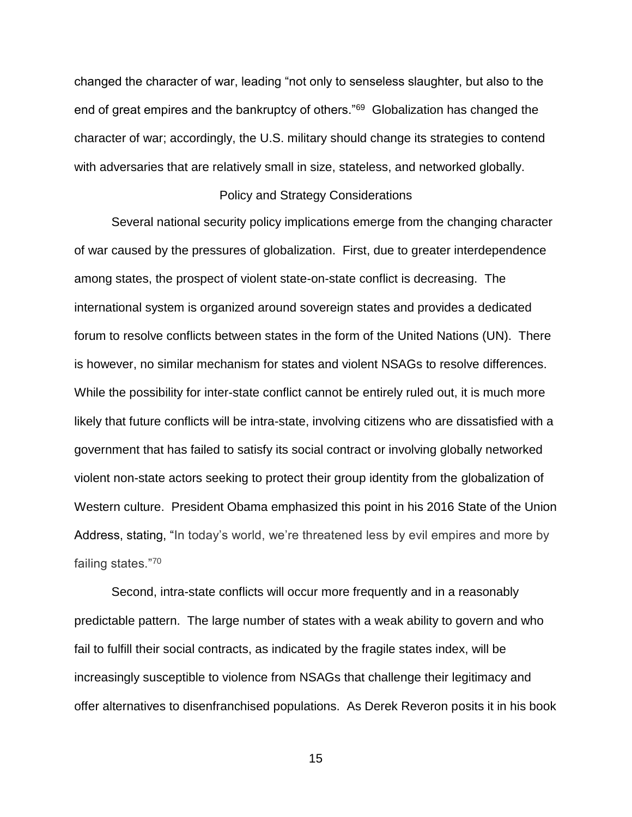changed the character of war, leading "not only to senseless slaughter, but also to the end of great empires and the bankruptcy of others."<sup>69</sup> Globalization has changed the character of war; accordingly, the U.S. military should change its strategies to contend with adversaries that are relatively small in size, stateless, and networked globally.

### Policy and Strategy Considerations

Several national security policy implications emerge from the changing character of war caused by the pressures of globalization. First, due to greater interdependence among states, the prospect of violent state-on-state conflict is decreasing. The international system is organized around sovereign states and provides a dedicated forum to resolve conflicts between states in the form of the United Nations (UN). There is however, no similar mechanism for states and violent NSAGs to resolve differences. While the possibility for inter-state conflict cannot be entirely ruled out, it is much more likely that future conflicts will be intra-state, involving citizens who are dissatisfied with a government that has failed to satisfy its social contract or involving globally networked violent non-state actors seeking to protect their group identity from the globalization of Western culture. President Obama emphasized this point in his 2016 State of the Union Address, stating, "In today's world, we're threatened less by evil empires and more by failing states."<sup>70</sup>

Second, intra-state conflicts will occur more frequently and in a reasonably predictable pattern. The large number of states with a weak ability to govern and who fail to fulfill their social contracts, as indicated by the fragile states index, will be increasingly susceptible to violence from NSAGs that challenge their legitimacy and offer alternatives to disenfranchised populations. As Derek Reveron posits it in his book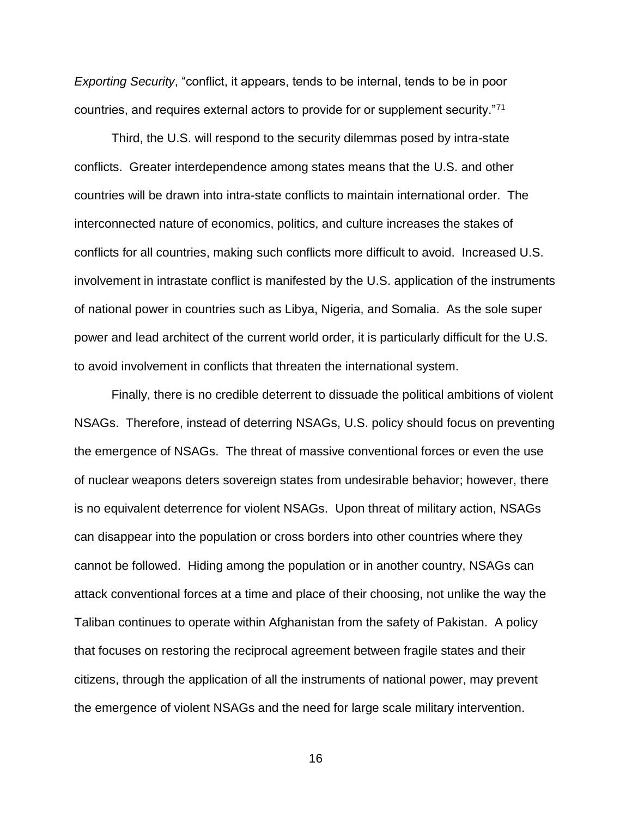*Exporting Security*, "conflict, it appears, tends to be internal, tends to be in poor countries, and requires external actors to provide for or supplement security."71

Third, the U.S. will respond to the security dilemmas posed by intra-state conflicts. Greater interdependence among states means that the U.S. and other countries will be drawn into intra-state conflicts to maintain international order. The interconnected nature of economics, politics, and culture increases the stakes of conflicts for all countries, making such conflicts more difficult to avoid. Increased U.S. involvement in intrastate conflict is manifested by the U.S. application of the instruments of national power in countries such as Libya, Nigeria, and Somalia. As the sole super power and lead architect of the current world order, it is particularly difficult for the U.S. to avoid involvement in conflicts that threaten the international system.

Finally, there is no credible deterrent to dissuade the political ambitions of violent NSAGs. Therefore, instead of deterring NSAGs, U.S. policy should focus on preventing the emergence of NSAGs. The threat of massive conventional forces or even the use of nuclear weapons deters sovereign states from undesirable behavior; however, there is no equivalent deterrence for violent NSAGs. Upon threat of military action, NSAGs can disappear into the population or cross borders into other countries where they cannot be followed. Hiding among the population or in another country, NSAGs can attack conventional forces at a time and place of their choosing, not unlike the way the Taliban continues to operate within Afghanistan from the safety of Pakistan. A policy that focuses on restoring the reciprocal agreement between fragile states and their citizens, through the application of all the instruments of national power, may prevent the emergence of violent NSAGs and the need for large scale military intervention.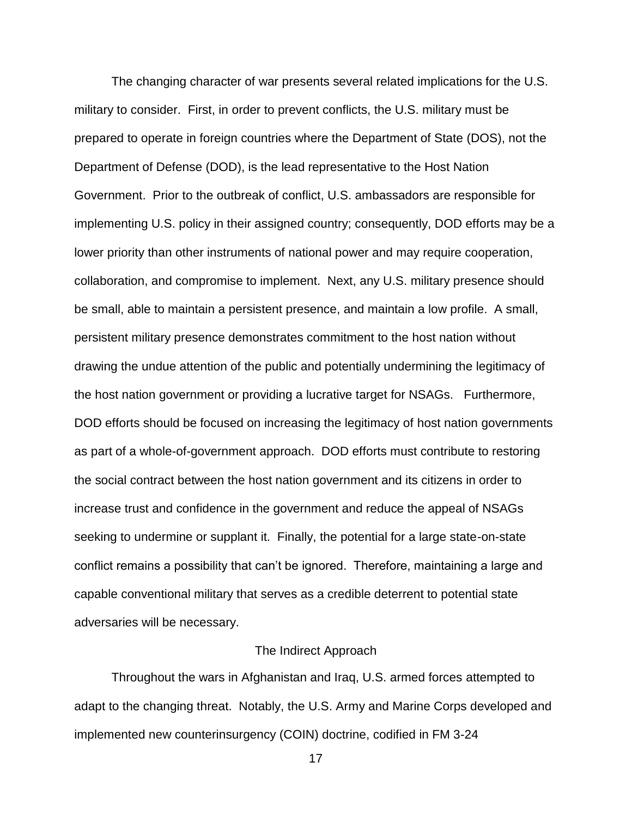The changing character of war presents several related implications for the U.S. military to consider. First, in order to prevent conflicts, the U.S. military must be prepared to operate in foreign countries where the Department of State (DOS), not the Department of Defense (DOD), is the lead representative to the Host Nation Government. Prior to the outbreak of conflict, U.S. ambassadors are responsible for implementing U.S. policy in their assigned country; consequently, DOD efforts may be a lower priority than other instruments of national power and may require cooperation, collaboration, and compromise to implement. Next, any U.S. military presence should be small, able to maintain a persistent presence, and maintain a low profile. A small, persistent military presence demonstrates commitment to the host nation without drawing the undue attention of the public and potentially undermining the legitimacy of the host nation government or providing a lucrative target for NSAGs. Furthermore, DOD efforts should be focused on increasing the legitimacy of host nation governments as part of a whole-of-government approach. DOD efforts must contribute to restoring the social contract between the host nation government and its citizens in order to increase trust and confidence in the government and reduce the appeal of NSAGs seeking to undermine or supplant it. Finally, the potential for a large state-on-state conflict remains a possibility that can't be ignored. Therefore, maintaining a large and capable conventional military that serves as a credible deterrent to potential state adversaries will be necessary.

### The Indirect Approach

Throughout the wars in Afghanistan and Iraq, U.S. armed forces attempted to adapt to the changing threat. Notably, the U.S. Army and Marine Corps developed and implemented new counterinsurgency (COIN) doctrine, codified in FM 3-24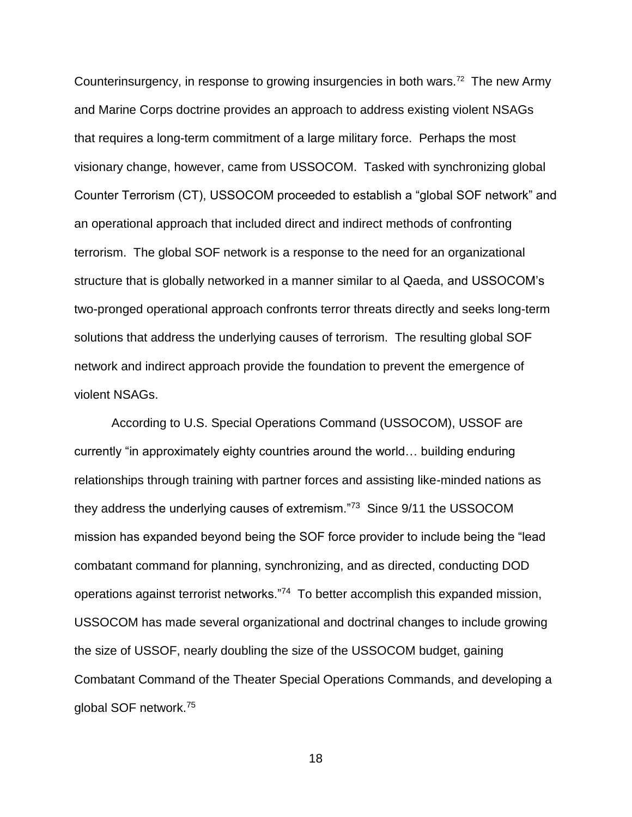Counterinsurgency, in response to growing insurgencies in both wars.<sup>72</sup> The new Army and Marine Corps doctrine provides an approach to address existing violent NSAGs that requires a long-term commitment of a large military force. Perhaps the most visionary change, however, came from USSOCOM. Tasked with synchronizing global Counter Terrorism (CT), USSOCOM proceeded to establish a "global SOF network" and an operational approach that included direct and indirect methods of confronting terrorism. The global SOF network is a response to the need for an organizational structure that is globally networked in a manner similar to al Qaeda, and USSOCOM's two-pronged operational approach confronts terror threats directly and seeks long-term solutions that address the underlying causes of terrorism. The resulting global SOF network and indirect approach provide the foundation to prevent the emergence of violent NSAGs.

According to U.S. Special Operations Command (USSOCOM), USSOF are currently "in approximately eighty countries around the world… building enduring relationships through training with partner forces and assisting like-minded nations as they address the underlying causes of extremism."<sup>73</sup> Since 9/11 the USSOCOM mission has expanded beyond being the SOF force provider to include being the "lead combatant command for planning, synchronizing, and as directed, conducting DOD operations against terrorist networks."<sup>74</sup> To better accomplish this expanded mission, USSOCOM has made several organizational and doctrinal changes to include growing the size of USSOF, nearly doubling the size of the USSOCOM budget, gaining Combatant Command of the Theater Special Operations Commands, and developing a global SOF network.<sup>75</sup>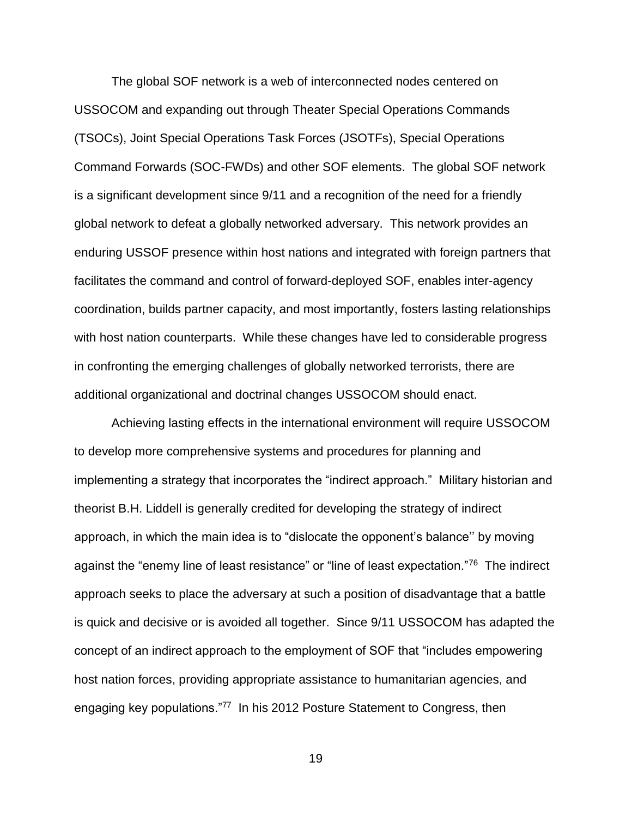The global SOF network is a web of interconnected nodes centered on USSOCOM and expanding out through Theater Special Operations Commands (TSOCs), Joint Special Operations Task Forces (JSOTFs), Special Operations Command Forwards (SOC-FWDs) and other SOF elements. The global SOF network is a significant development since 9/11 and a recognition of the need for a friendly global network to defeat a globally networked adversary. This network provides an enduring USSOF presence within host nations and integrated with foreign partners that facilitates the command and control of forward-deployed SOF, enables inter-agency coordination, builds partner capacity, and most importantly, fosters lasting relationships with host nation counterparts. While these changes have led to considerable progress in confronting the emerging challenges of globally networked terrorists, there are additional organizational and doctrinal changes USSOCOM should enact.

Achieving lasting effects in the international environment will require USSOCOM to develop more comprehensive systems and procedures for planning and implementing a strategy that incorporates the "indirect approach." Military historian and theorist B.H. Liddell is generally credited for developing the strategy of indirect approach, in which the main idea is to "dislocate the opponent's balance'' by moving against the "enemy line of least resistance" or "line of least expectation."<sup>76</sup> The indirect approach seeks to place the adversary at such a position of disadvantage that a battle is quick and decisive or is avoided all together. Since 9/11 USSOCOM has adapted the concept of an indirect approach to the employment of SOF that "includes empowering host nation forces, providing appropriate assistance to humanitarian agencies, and engaging key populations."<sup>77</sup> In his 2012 Posture Statement to Congress, then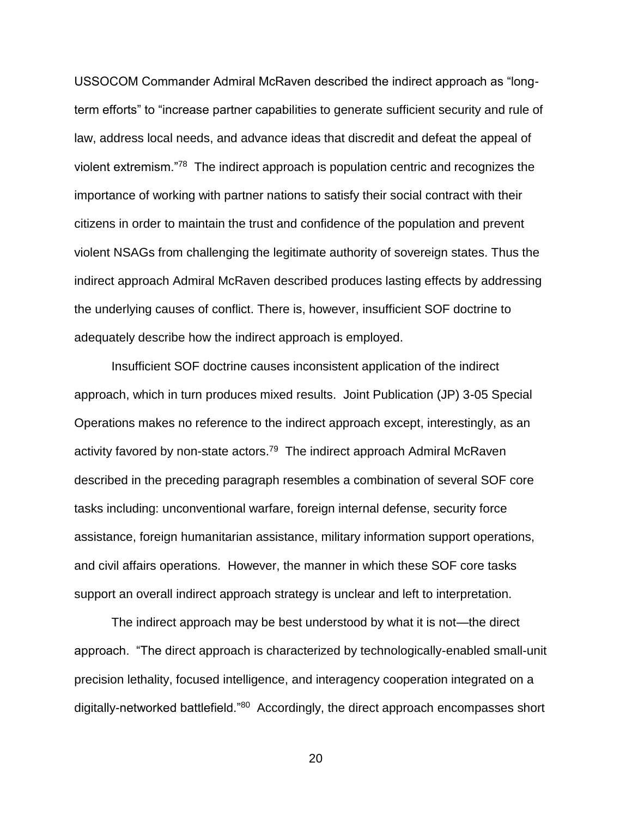USSOCOM Commander Admiral McRaven described the indirect approach as "longterm efforts" to "increase partner capabilities to generate sufficient security and rule of law, address local needs, and advance ideas that discredit and defeat the appeal of violent extremism."<sup>78</sup> The indirect approach is population centric and recognizes the importance of working with partner nations to satisfy their social contract with their citizens in order to maintain the trust and confidence of the population and prevent violent NSAGs from challenging the legitimate authority of sovereign states. Thus the indirect approach Admiral McRaven described produces lasting effects by addressing the underlying causes of conflict. There is, however, insufficient SOF doctrine to adequately describe how the indirect approach is employed.

Insufficient SOF doctrine causes inconsistent application of the indirect approach, which in turn produces mixed results. Joint Publication (JP) 3-05 Special Operations makes no reference to the indirect approach except, interestingly, as an activity favored by non-state actors.<sup>79</sup> The indirect approach Admiral McRaven described in the preceding paragraph resembles a combination of several SOF core tasks including: unconventional warfare, foreign internal defense, security force assistance, foreign humanitarian assistance, military information support operations, and civil affairs operations. However, the manner in which these SOF core tasks support an overall indirect approach strategy is unclear and left to interpretation.

The indirect approach may be best understood by what it is not—the direct approach. "The direct approach is characterized by technologically-enabled small-unit precision lethality, focused intelligence, and interagency cooperation integrated on a digitally-networked battlefield."<sup>80</sup> Accordingly, the direct approach encompasses short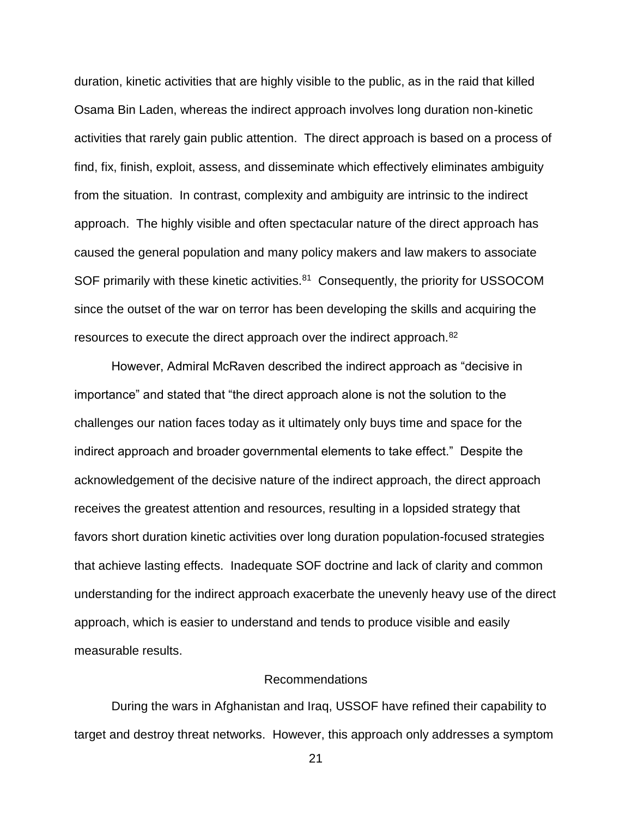duration, kinetic activities that are highly visible to the public, as in the raid that killed Osama Bin Laden, whereas the indirect approach involves long duration non-kinetic activities that rarely gain public attention. The direct approach is based on a process of find, fix, finish, exploit, assess, and disseminate which effectively eliminates ambiguity from the situation. In contrast, complexity and ambiguity are intrinsic to the indirect approach. The highly visible and often spectacular nature of the direct approach has caused the general population and many policy makers and law makers to associate SOF primarily with these kinetic activities.<sup>81</sup> Consequently, the priority for USSOCOM since the outset of the war on terror has been developing the skills and acquiring the resources to execute the direct approach over the indirect approach.<sup>82</sup>

However, Admiral McRaven described the indirect approach as "decisive in importance" and stated that "the direct approach alone is not the solution to the challenges our nation faces today as it ultimately only buys time and space for the indirect approach and broader governmental elements to take effect." Despite the acknowledgement of the decisive nature of the indirect approach, the direct approach receives the greatest attention and resources, resulting in a lopsided strategy that favors short duration kinetic activities over long duration population-focused strategies that achieve lasting effects. Inadequate SOF doctrine and lack of clarity and common understanding for the indirect approach exacerbate the unevenly heavy use of the direct approach, which is easier to understand and tends to produce visible and easily measurable results.

### Recommendations

During the wars in Afghanistan and Iraq, USSOF have refined their capability to target and destroy threat networks. However, this approach only addresses a symptom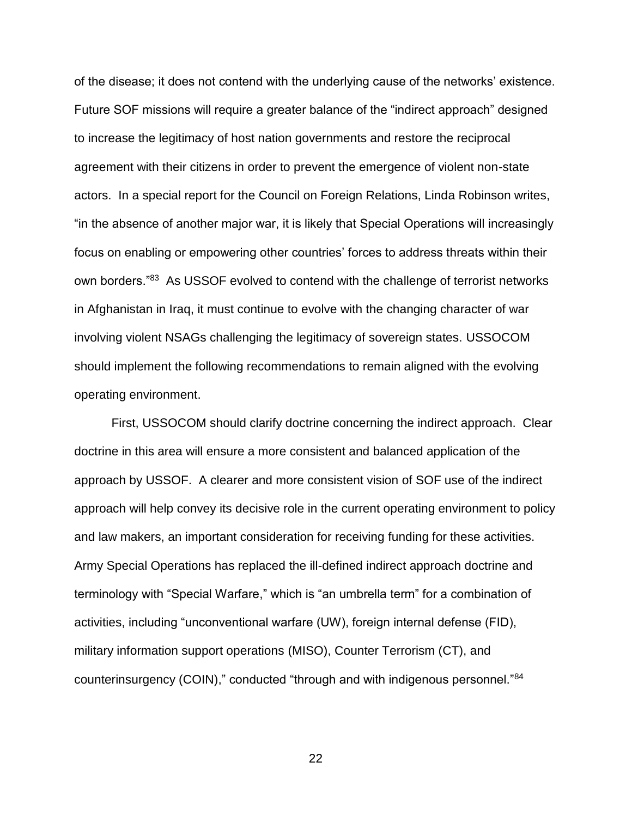of the disease; it does not contend with the underlying cause of the networks' existence. Future SOF missions will require a greater balance of the "indirect approach" designed to increase the legitimacy of host nation governments and restore the reciprocal agreement with their citizens in order to prevent the emergence of violent non-state actors. In a special report for the Council on Foreign Relations, Linda Robinson writes, "in the absence of another major war, it is likely that Special Operations will increasingly focus on enabling or empowering other countries' forces to address threats within their own borders."<sup>83</sup> As USSOF evolved to contend with the challenge of terrorist networks in Afghanistan in Iraq, it must continue to evolve with the changing character of war involving violent NSAGs challenging the legitimacy of sovereign states. USSOCOM should implement the following recommendations to remain aligned with the evolving operating environment.

First, USSOCOM should clarify doctrine concerning the indirect approach. Clear doctrine in this area will ensure a more consistent and balanced application of the approach by USSOF. A clearer and more consistent vision of SOF use of the indirect approach will help convey its decisive role in the current operating environment to policy and law makers, an important consideration for receiving funding for these activities. Army Special Operations has replaced the ill-defined indirect approach doctrine and terminology with "Special Warfare," which is "an umbrella term" for a combination of activities, including "unconventional warfare (UW), foreign internal defense (FID), military information support operations (MISO), Counter Terrorism (CT), and counterinsurgency (COIN)," conducted "through and with indigenous personnel."<sup>84</sup>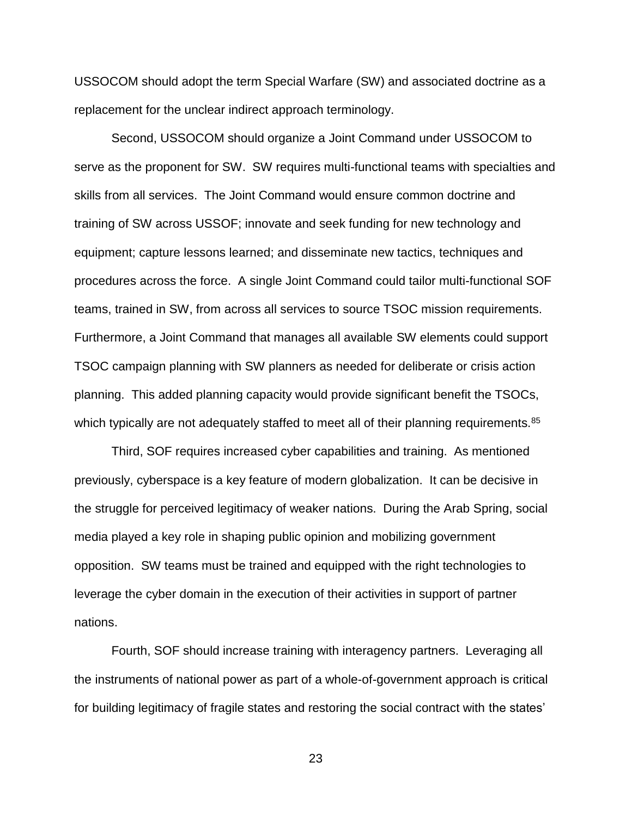USSOCOM should adopt the term Special Warfare (SW) and associated doctrine as a replacement for the unclear indirect approach terminology.

Second, USSOCOM should organize a Joint Command under USSOCOM to serve as the proponent for SW. SW requires multi-functional teams with specialties and skills from all services. The Joint Command would ensure common doctrine and training of SW across USSOF; innovate and seek funding for new technology and equipment; capture lessons learned; and disseminate new tactics, techniques and procedures across the force. A single Joint Command could tailor multi-functional SOF teams, trained in SW, from across all services to source TSOC mission requirements. Furthermore, a Joint Command that manages all available SW elements could support TSOC campaign planning with SW planners as needed for deliberate or crisis action planning. This added planning capacity would provide significant benefit the TSOCs, which typically are not adequately staffed to meet all of their planning requirements.<sup>85</sup>

Third, SOF requires increased cyber capabilities and training. As mentioned previously, cyberspace is a key feature of modern globalization. It can be decisive in the struggle for perceived legitimacy of weaker nations. During the Arab Spring, social media played a key role in shaping public opinion and mobilizing government opposition. SW teams must be trained and equipped with the right technologies to leverage the cyber domain in the execution of their activities in support of partner nations.

Fourth, SOF should increase training with interagency partners. Leveraging all the instruments of national power as part of a whole-of-government approach is critical for building legitimacy of fragile states and restoring the social contract with the states'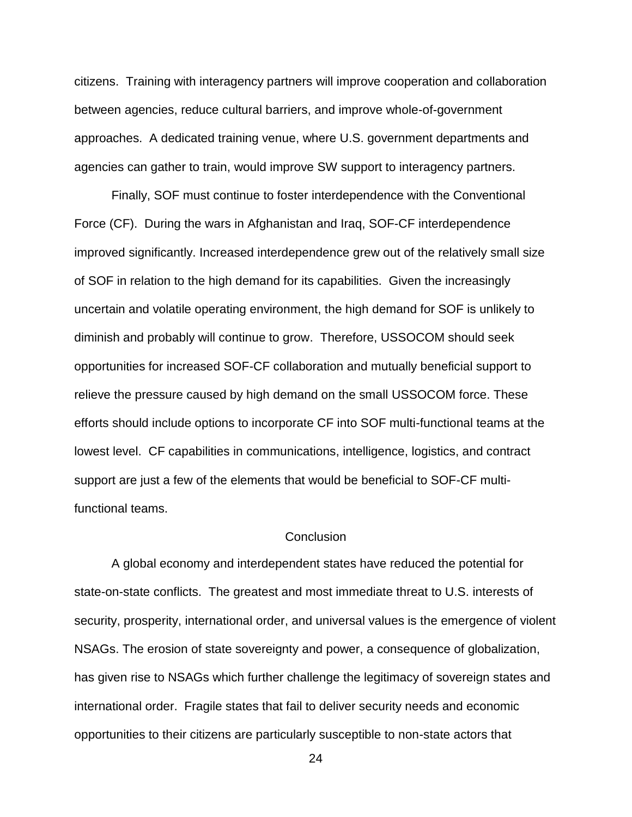citizens. Training with interagency partners will improve cooperation and collaboration between agencies, reduce cultural barriers, and improve whole-of-government approaches. A dedicated training venue, where U.S. government departments and agencies can gather to train, would improve SW support to interagency partners.

Finally, SOF must continue to foster interdependence with the Conventional Force (CF). During the wars in Afghanistan and Iraq, SOF-CF interdependence improved significantly. Increased interdependence grew out of the relatively small size of SOF in relation to the high demand for its capabilities. Given the increasingly uncertain and volatile operating environment, the high demand for SOF is unlikely to diminish and probably will continue to grow. Therefore, USSOCOM should seek opportunities for increased SOF-CF collaboration and mutually beneficial support to relieve the pressure caused by high demand on the small USSOCOM force. These efforts should include options to incorporate CF into SOF multi-functional teams at the lowest level. CF capabilities in communications, intelligence, logistics, and contract support are just a few of the elements that would be beneficial to SOF-CF multifunctional teams.

### **Conclusion**

A global economy and interdependent states have reduced the potential for state-on-state conflicts. The greatest and most immediate threat to U.S. interests of security, prosperity, international order, and universal values is the emergence of violent NSAGs. The erosion of state sovereignty and power, a consequence of globalization, has given rise to NSAGs which further challenge the legitimacy of sovereign states and international order. Fragile states that fail to deliver security needs and economic opportunities to their citizens are particularly susceptible to non-state actors that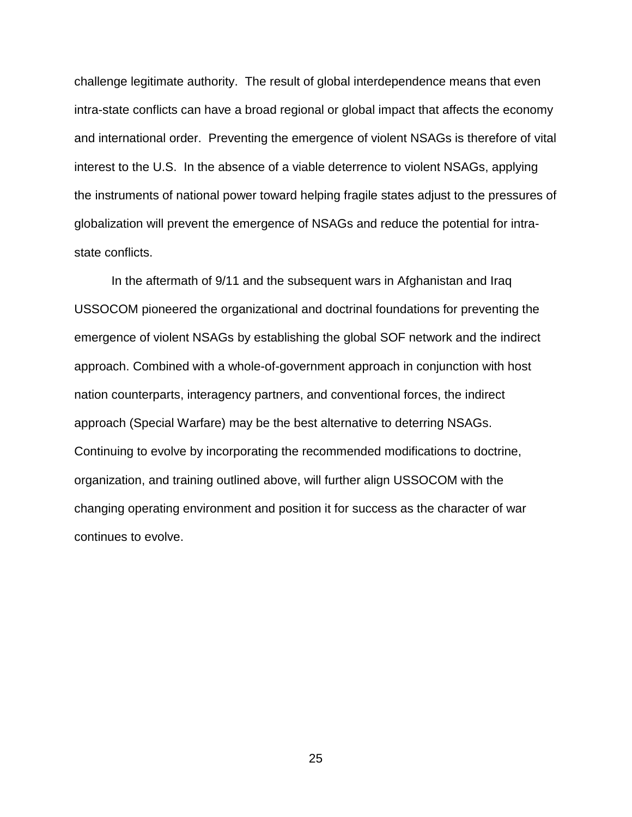challenge legitimate authority. The result of global interdependence means that even intra-state conflicts can have a broad regional or global impact that affects the economy and international order. Preventing the emergence of violent NSAGs is therefore of vital interest to the U.S. In the absence of a viable deterrence to violent NSAGs, applying the instruments of national power toward helping fragile states adjust to the pressures of globalization will prevent the emergence of NSAGs and reduce the potential for intrastate conflicts.

In the aftermath of 9/11 and the subsequent wars in Afghanistan and Iraq USSOCOM pioneered the organizational and doctrinal foundations for preventing the emergence of violent NSAGs by establishing the global SOF network and the indirect approach. Combined with a whole-of-government approach in conjunction with host nation counterparts, interagency partners, and conventional forces, the indirect approach (Special Warfare) may be the best alternative to deterring NSAGs. Continuing to evolve by incorporating the recommended modifications to doctrine, organization, and training outlined above, will further align USSOCOM with the changing operating environment and position it for success as the character of war continues to evolve.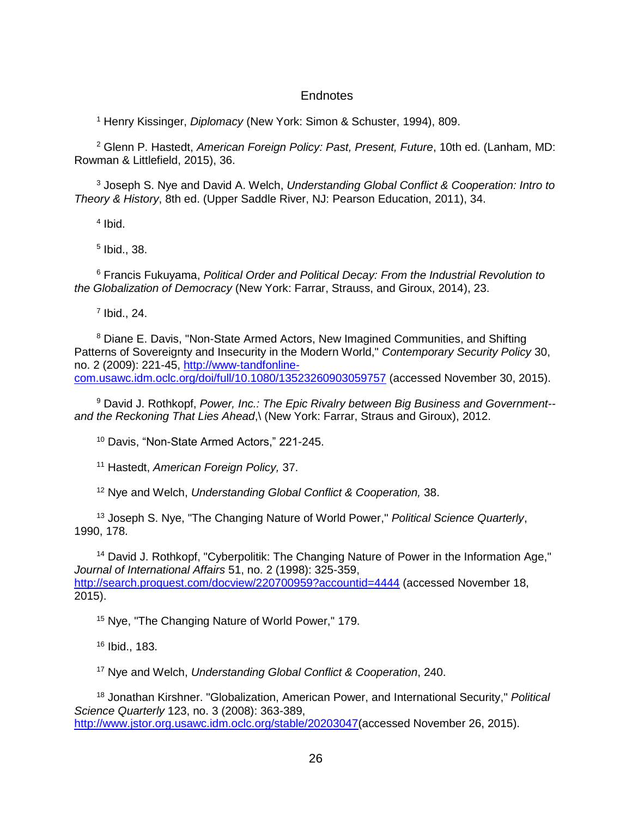### **Endnotes**

<sup>1</sup> Henry Kissinger, *Diplomacy* (New York: Simon & Schuster, 1994), 809.

<sup>2</sup> Glenn P. Hastedt, *American Foreign Policy: Past, Present, Future*, 10th ed. (Lanham, MD: Rowman & Littlefield, 2015), 36.

<sup>3</sup> Joseph S. Nye and David A. Welch, *Understanding Global Conflict & Cooperation: Intro to Theory & History*, 8th ed. (Upper Saddle River, NJ: Pearson Education, 2011), 34.

4 Ibid.

5 Ibid., 38.

<sup>6</sup> Francis Fukuyama, *Political Order and Political Decay: From the Industrial Revolution to the Globalization of Democracy* (New York: Farrar, Strauss, and Giroux, 2014), 23.

 $<sup>7</sup>$  Ibid., 24.</sup>

<sup>8</sup> Diane E. Davis, "Non-State Armed Actors, New Imagined Communities, and Shifting Patterns of Sovereignty and Insecurity in the Modern World," *Contemporary Security Policy* 30, no. 2 (2009): 221-45, [http://www-tandfonline](http://www-tandfonline-com.usawc.idm.oclc.org/doi/full/10.1080/13523260903059757)[com.usawc.idm.oclc.org/doi/full/10.1080/13523260903059757](http://www-tandfonline-com.usawc.idm.oclc.org/doi/full/10.1080/13523260903059757) (accessed November 30, 2015).

<sup>9</sup> David J. Rothkopf, *Power, Inc.: The Epic Rivalry between Big Business and Government- and the Reckoning That Lies Ahead*,\ (New York: Farrar, Straus and Giroux), 2012.

<sup>10</sup> Davis, "Non-State Armed Actors," 221-245.

<sup>11</sup> Hastedt, *American Foreign Policy,* 37.

<sup>12</sup> Nye and Welch, *Understanding Global Conflict & Cooperation,* 38.

<sup>13</sup> Joseph S. Nye, "The Changing Nature of World Power," *Political Science Quarterly*, 1990, 178.

<sup>14</sup> David J. Rothkopf, "Cyberpolitik: The Changing Nature of Power in the Information Age," *Journal of International Affairs* 51, no. 2 (1998): 325-359, <http://search.proquest.com/docview/220700959?accountid=4444> (accessed November 18, 2015).

<sup>15</sup> Nye, "The Changing Nature of World Power," 179.

<sup>16</sup> Ibid., 183.

<sup>17</sup> Nye and Welch, *Understanding Global Conflict & Cooperation*, 240.

<sup>18</sup> Jonathan Kirshner. "Globalization, American Power, and International Security," *Political Science Quarterly* 123, no. 3 (2008): 363-389, [http://www.jstor.org.usawc.idm.oclc.org/stable/20203047\(](http://www.jstor.org.usawc.idm.oclc.org/stable/20203047)accessed November 26, 2015).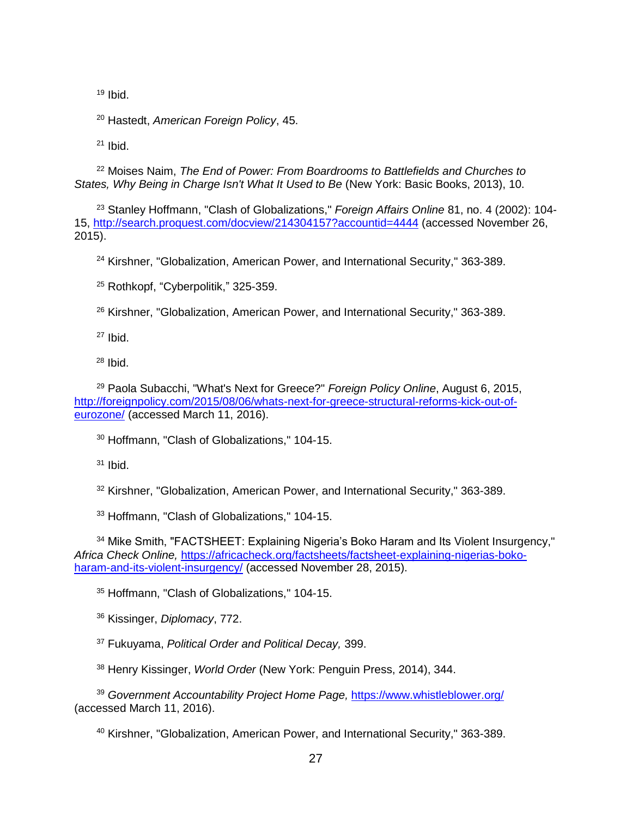Ibid.

Hastedt, *American Foreign Policy*, 45.

Ibid.

 Moises Naim, *The End of Power: From Boardrooms to Battlefields and Churches to States, Why Being in Charge Isn't What It Used to Be* (New York: Basic Books, 2013), 10.

 Stanley Hoffmann, "Clash of Globalizations," *Foreign Affairs Online* 81, no. 4 (2002): 104- 15,<http://search.proquest.com/docview/214304157?accountid=4444> (accessed November 26, 2015).

<sup>24</sup> Kirshner, "Globalization, American Power, and International Security," 363-389.

Rothkopf, "Cyberpolitik," 325-359.

Kirshner, "Globalization, American Power, and International Security," 363-389.

Ibid.

Ibid.

 Paola Subacchi, "What's Next for Greece?" *Foreign Policy Online*, August 6, 2015, [http://foreignpolicy.com/2015/08/06/whats-next-for-greece-structural-reforms-kick-out-of](http://foreignpolicy.com/2015/08/06/whats-next-for-greece-structural-reforms-kick-out-of-eurozone/)[eurozone/](http://foreignpolicy.com/2015/08/06/whats-next-for-greece-structural-reforms-kick-out-of-eurozone/) (accessed March 11, 2016).

Hoffmann, "Clash of Globalizations," 104-15.

Ibid.

Kirshner, "Globalization, American Power, and International Security," 363-389.

Hoffmann, "Clash of Globalizations," 104-15.

<sup>34</sup> Mike Smith, "FACTSHEET: Explaining Nigeria's Boko Haram and Its Violent Insurgency." *Africa Check Online,* [https://africacheck.org/factsheets/factsheet-explaining-nigerias-boko](https://africacheck.org/factsheets/factsheet-explaining-nigerias-boko-haram-and-its-violent-insurgency/)[haram-and-its-violent-insurgency/](https://africacheck.org/factsheets/factsheet-explaining-nigerias-boko-haram-and-its-violent-insurgency/) (accessed November 28, 2015).

Hoffmann, "Clash of Globalizations," 104-15.

Kissinger, *Diplomacy*, 772.

Fukuyama, *Political Order and Political Decay,* 399.

Henry Kissinger, *World Order* (New York: Penguin Press, 2014), 344.

 *Government Accountability Project Home Page,* <https://www.whistleblower.org/> (accessed March 11, 2016).

Kirshner, "Globalization, American Power, and International Security," 363-389.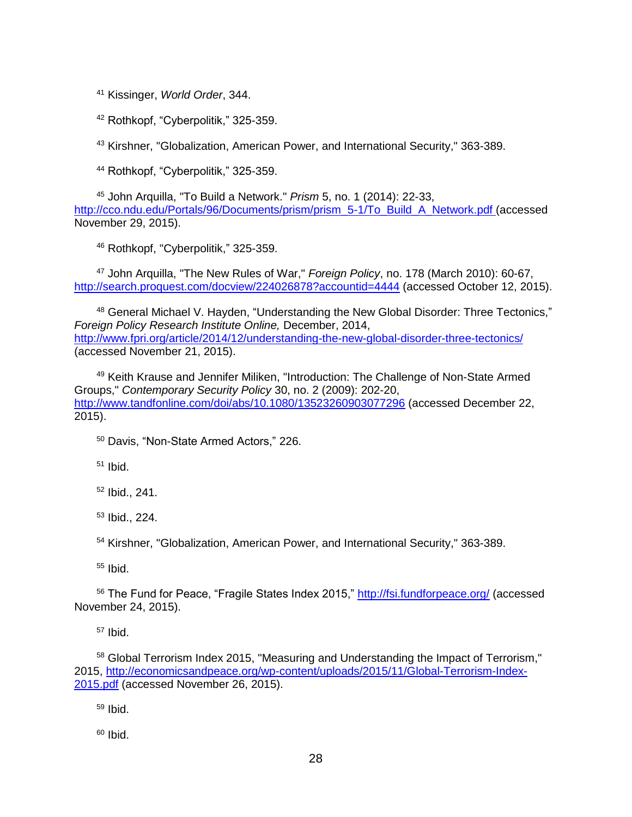<sup>41</sup> Kissinger, *World Order*, 344.

<sup>42</sup> Rothkopf, "Cyberpolitik," 325-359.

<sup>43</sup> Kirshner, "Globalization, American Power, and International Security," 363-389.

<sup>44</sup> Rothkopf, "Cyberpolitik," 325-359.

<sup>45</sup> John Arquilla, "To Build a Network." *Prism* 5, no. 1 (2014): 22-33, [http://cco.ndu.edu/Portals/96/Documents/prism/prism\\_5-1/To\\_Build\\_A\\_Network.pdf](http://cco.ndu.edu/Portals/96/Documents/prism/prism_5-1/To_Build_A_Network.pdf) (accessed November 29, 2015).

<sup>46</sup> Rothkopf, "Cyberpolitik," 325-359.

<sup>47</sup> John Arquilla, "The New Rules of War," *Foreign Policy*, no. 178 (March 2010): 60-67, http://search.proquest.com/docyiew/224026878?accountid=4444 (accessed October 12, 2015).

48 General Michael V. Hayden, "Understanding the New Global Disorder: Three Tectonics," *Foreign Policy Research Institute Online,* December, 2014, <http://www.fpri.org/article/2014/12/understanding-the-new-global-disorder-three-tectonics/> (accessed November 21, 2015).

<sup>49</sup> Keith Krause and Jennifer Miliken, "Introduction: The Challenge of Non-State Armed Groups," *Contemporary Security Policy* 30, no. 2 (2009): 202-20, <http://www.tandfonline.com/doi/abs/10.1080/13523260903077296> (accessed December 22, 2015).

<sup>50</sup> Davis, "Non-State Armed Actors," 226.

<sup>51</sup> Ibid.

<sup>52</sup> Ibid., 241.

<sup>53</sup> Ibid., 224.

<sup>54</sup> Kirshner, "Globalization, American Power, and International Security," 363-389.

<sup>55</sup> Ibid.

<sup>56</sup> The Fund for Peace, "Fragile States Index 2015," <http://fsi.fundforpeace.org/> (accessed November 24, 2015).

<sup>57</sup> Ibid.

<sup>58</sup> Global Terrorism Index 2015, "Measuring and Understanding the Impact of Terrorism," 2015, [http://economicsandpeace.org/wp-content/uploads/2015/11/Global-Terrorism-Index-](http://economicsandpeace.org/wp-content/uploads/2015/11/Global-Terrorism-Index-2015.pdf)[2015.pdf](http://economicsandpeace.org/wp-content/uploads/2015/11/Global-Terrorism-Index-2015.pdf) (accessed November 26, 2015).

 $59$  Ibid.

 $60$  Ibid.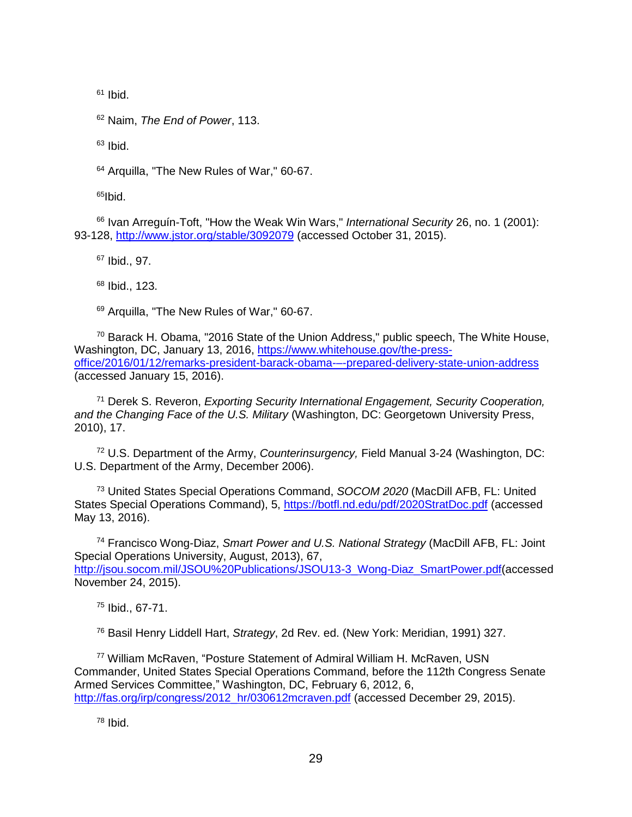$61$  Ibid.

<sup>62</sup> Naim, *The End of Power*, 113.

 $63$  Ibid.

<sup>64</sup> Arquilla, "The New Rules of War," 60-67.

 $65$ Ibid.

<sup>66</sup> Ivan Arreguín-Toft, "How the Weak Win Wars," *International Security* 26, no. 1 (2001): 93-128,<http://www.jstor.org/stable/3092079> (accessed October 31, 2015).

<sup>67</sup> Ibid., 97.

<sup>68</sup> Ibid., 123.

<sup>69</sup> Arquilla, "The New Rules of War," 60-67.

<sup>70</sup> Barack H. Obama, "2016 State of the Union Address," public speech, The White House, Washington, DC, January 13, 2016, [https://www.whitehouse.gov/the-press](https://www.whitehouse.gov/the-press-office/2016/01/12/remarks-president-barack-obama-–-prepared-delivery-state-union-address)[office/2016/01/12/remarks-president-barack-obama-–-prepared-delivery-state-union-address](https://www.whitehouse.gov/the-press-office/2016/01/12/remarks-president-barack-obama-–-prepared-delivery-state-union-address) (accessed January 15, 2016).

<sup>71</sup> Derek S. Reveron, *Exporting Security International Engagement, Security Cooperation, and the Changing Face of the U.S. Military* (Washington, DC: Georgetown University Press, 2010), 17.

<sup>72</sup> U.S. Department of the Army, *Counterinsurgency,* Field Manual 3-24 (Washington, DC: U.S. Department of the Army, December 2006).

<sup>73</sup> United States Special Operations Command, *SOCOM 2020* (MacDill AFB, FL: United States Special Operations Command), 5, <https://botfl.nd.edu/pdf/2020StratDoc.pdf> (accessed May 13, 2016).

<sup>74</sup> Francisco Wong-Diaz, *Smart Power and U.S. National Strategy* (MacDill AFB, FL: Joint Special Operations University, August, 2013), 67, [http://jsou.socom.mil/JSOU%20Publications/JSOU13-3\\_Wong-Diaz\\_SmartPower.pdf\(](http://jsou.socom.mil/JSOU%20Publications/JSOU13-3_Wong-Diaz_SmartPower.pdf)accessed November 24, 2015).

<sup>75</sup> Ibid., 67-71.

<sup>76</sup> Basil Henry Liddell Hart, *Strategy*, 2d Rev. ed. (New York: Meridian, 1991) 327.

<sup>77</sup> William McRaven, "Posture Statement of Admiral William H. McRaven, USN Commander, United States Special Operations Command, before the 112th Congress Senate Armed Services Committee," Washington, DC, February 6, 2012, 6, [http://fas.org/irp/congress/2012\\_hr/030612mcraven.pdf](http://fas.org/irp/congress/2012_hr/030612mcraven.pdf) (accessed December 29, 2015).

 $78$  Ibid.